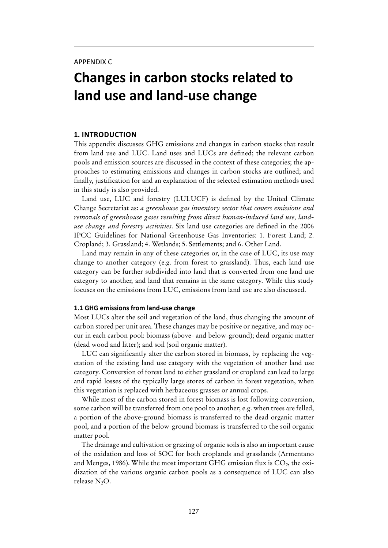# **Changes in carbon stocks related to land use and land-use change**

#### **1. Introduction**

This appendix discusses GHG emissions and changes in carbon stocks that result from land use and LUC. Land uses and LUCs are defined; the relevant carbon pools and emission sources are discussed in the context of these categories; the approaches to estimating emissions and changes in carbon stocks are outlined; and finally, justification for and an explanation of the selected estimation methods used in this study is also provided.

Land use, LUC and forestry (LULUCF) is defined by the United Climate Change Secretariat as: *a greenhouse gas inventory sector that covers emissions and removals of greenhouse gases resulting from direct human-induced land use, landuse change and forestry activities*. Six land use categories are defined in the 2006 IPCC Guidelines for National Greenhouse Gas Inventories: 1. Forest Land; 2. Cropland; 3. Grassland; 4. Wetlands; 5. Settlements; and 6. Other Land.

Land may remain in any of these categories or, in the case of LUC, its use may change to another category (e.g. from forest to grassland). Thus, each land use category can be further subdivided into land that is converted from one land use category to another, and land that remains in the same category. While this study focuses on the emissions from LUC, emissions from land use are also discussed.

#### **1.1 GHG emissions from land-use change**

Most LUCs alter the soil and vegetation of the land, thus changing the amount of carbon stored per unit area. These changes may be positive or negative, and may occur in each carbon pool: biomass (above- and below-ground); dead organic matter (dead wood and litter); and soil (soil organic matter).

LUC can significantly alter the carbon stored in biomass, by replacing the vegetation of the existing land use category with the vegetation of another land use category. Conversion of forest land to either grassland or cropland can lead to large and rapid losses of the typically large stores of carbon in forest vegetation, when this vegetation is replaced with herbaceous grasses or annual crops.

While most of the carbon stored in forest biomass is lost following conversion, some carbon will be transferred from one pool to another; e.g. when trees are felled, a portion of the above-ground biomass is transferred to the dead organic matter pool, and a portion of the below-ground biomass is transferred to the soil organic matter pool.

The drainage and cultivation or grazing of organic soils is also an important cause of the oxidation and loss of SOC for both croplands and grasslands (Armentano and Menges, 1986). While the most important GHG emission flux is  $CO<sub>2</sub>$ , the oxidization of the various organic carbon pools as a consequence of LUC can also release N<sub>2</sub>O.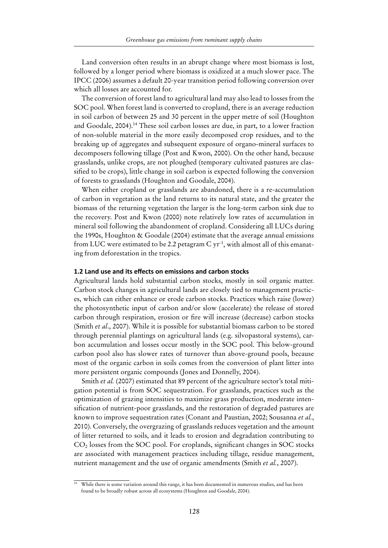Land conversion often results in an abrupt change where most biomass is lost, followed by a longer period where biomass is oxidized at a much slower pace. The IPCC (2006) assumes a default 20-year transition period following conversion over which all losses are accounted for.

The conversion of forest land to agricultural land may also lead to losses from the SOC pool. When forest land is converted to cropland, there is an average reduction in soil carbon of between 25 and 30 percent in the upper metre of soil (Houghton and Goodale, 2004).14 These soil carbon losses are due, in part, to a lower fraction of non-soluble material in the more easily decomposed crop residues, and to the breaking up of aggregates and subsequent exposure of organo-mineral surfaces to decomposers following tillage (Post and Kwon, 2000). On the other hand, because grasslands, unlike crops, are not ploughed (temporary cultivated pastures are classified to be crops), little change in soil carbon is expected following the conversion of forests to grasslands (Houghton and Goodale, 2004).

When either cropland or grasslands are abandoned, there is a re-accumulation of carbon in vegetation as the land returns to its natural state, and the greater the biomass of the returning vegetation the larger is the long-term carbon sink due to the recovery. Post and Kwon (2000) note relatively low rates of accumulation in mineral soil following the abandonment of cropland. Considering all LUCs during the 1990s, Houghton & Goodale (2004) estimate that the average annual emissions from LUC were estimated to be 2.2 petagram  $C yr^{-1}$ , with almost all of this emanating from deforestation in the tropics.

#### **1.2 Land use and its effects on emissions and carbon stocks**

Agricultural lands hold substantial carbon stocks, mostly in soil organic matter. Carbon stock changes in agricultural lands are closely tied to management practices, which can either enhance or erode carbon stocks. Practices which raise (lower) the photosynthetic input of carbon and/or slow (accelerate) the release of stored carbon through respiration, erosion or fire will increase (decrease) carbon stocks (Smith *et al*., 2007). While it is possible for substantial biomass carbon to be stored through perennial plantings on agricultural lands (e.g. silvopastoral systems), carbon accumulation and losses occur mostly in the SOC pool. This below-ground carbon pool also has slower rates of turnover than above-ground pools, because most of the organic carbon in soils comes from the conversion of plant litter into more persistent organic compounds (Jones and Donnelly, 2004).

Smith *et al.* (2007) estimated that 89 percent of the agriculture sector's total mitigation potential is from SOC sequestration. For grasslands, practices such as the optimization of grazing intensities to maximize grass production, moderate intensification of nutrient-poor grasslands, and the restoration of degraded pastures are known to improve sequestration rates (Conant and Paustian, 2002; Sousanna *et al.*, 2010). Conversely, the overgrazing of grasslands reduces vegetation and the amount of litter returned to soils, and it leads to erosion and degradation contributing to CO<sub>2</sub> losses from the SOC pool. For croplands, significant changes in SOC stocks are associated with management practices including tillage, residue management, nutrient management and the use of organic amendments (Smith *et al.*, 2007).

 $14$  While there is some variation around this range, it has been documented in numerous studies, and has been found to be broadly robust across all ecosystems (Houghton and Goodale, 2004).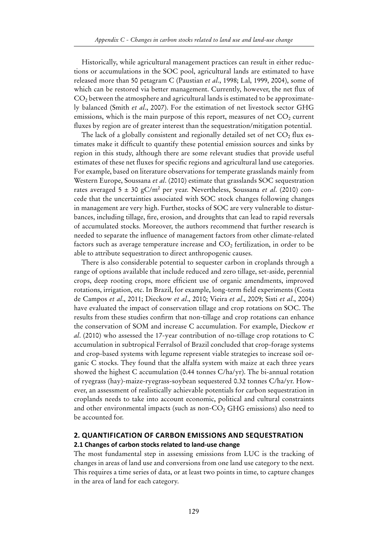Historically, while agricultural management practices can result in either reductions or accumulations in the SOC pool, agricultural lands are estimated to have released more than 50 petagram C (Paustian *et al*., 1998; Lal, 1999, 2004), some of which can be restored via better management. Currently, however, the net flux of  $CO<sub>2</sub>$  between the atmosphere and agricultural lands is estimated to be approximately balanced (Smith *et al*., 2007). For the estimation of net livestock sector GHG emissions, which is the main purpose of this report, measures of net  $CO<sub>2</sub>$  current fluxes by region are of greater interest than the sequestration/mitigation potential.

The lack of a globally consistent and regionally detailed set of net  $CO<sub>2</sub>$  flux estimates make it difficult to quantify these potential emission sources and sinks by region in this study, although there are some relevant studies that provide useful estimates of these net fluxes for specific regions and agricultural land use categories. For example, based on literature observations for temperate grasslands mainly from Western Europe, Soussana *et al*. (2010) estimate that grasslands SOC sequestration rates averaged 5 ± 30 gC/m2 per year. Nevertheless, Soussana *et al*. (2010) concede that the uncertainties associated with SOC stock changes following changes in management are very high. Further, stocks of SOC are very vulnerable to disturbances, including tillage, fire, erosion, and droughts that can lead to rapid reversals of accumulated stocks. Moreover, the authors recommend that further research is needed to separate the influence of management factors from other climate-related factors such as average temperature increase and  $CO<sub>2</sub>$  fertilization, in order to be able to attribute sequestration to direct anthropogenic causes.

There is also considerable potential to sequester carbon in croplands through a range of options available that include reduced and zero tillage, set-aside, perennial crops, deep rooting crops, more efficient use of organic amendments, improved rotations, irrigation, etc. In Brazil, for example, long-term field experiments (Costa de Campos *et al*., 2011; Dieckow *et al*., 2010; Vieira *et al*., 2009; Sisti *et al*., 2004) have evaluated the impact of conservation tillage and crop rotations on SOC. The results from these studies confirm that non-tillage and crop rotations can enhance the conservation of SOM and increase C accumulation. For example, Dieckow *et al*. (2010) who assessed the 17-year contribution of no-tillage crop rotations to C accumulation in subtropical Ferralsol of Brazil concluded that crop-forage systems and crop-based systems with legume represent viable strategies to increase soil organic C stocks. They found that the alfalfa system with maize at each three years showed the highest C accumulation (0.44 tonnes C/ha/yr). The bi-annual rotation of ryegrass (hay)-maize-ryegrass-soybean sequestered 0.32 tonnes C/ha/yr. However, an assessment of realistically achievable potentials for carbon sequestration in croplands needs to take into account economic, political and cultural constraints and other environmental impacts (such as non- $CO<sub>2</sub>$  GHG emissions) also need to be accounted for.

#### **2. Quantification of carbon emissions and sequestration 2.1 Changes of carbon stocks related to land-use change**

The most fundamental step in assessing emissions from LUC is the tracking of changes in areas of land use and conversions from one land use category to the next. This requires a time series of data, or at least two points in time, to capture changes in the area of land for each category.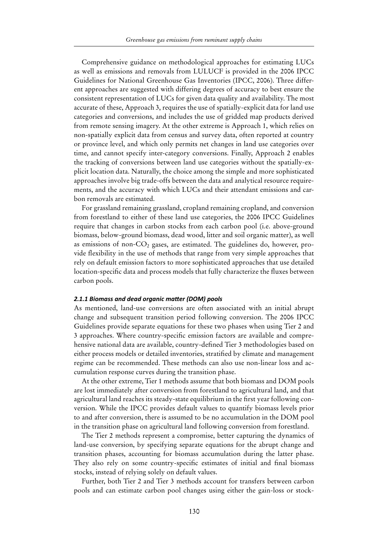Comprehensive guidance on methodological approaches for estimating LUCs as well as emissions and removals from LULUCF is provided in the 2006 IPCC Guidelines for National Greenhouse Gas Inventories (IPCC, 2006). Three different approaches are suggested with differing degrees of accuracy to best ensure the consistent representation of LUCs for given data quality and availability. The most accurate of these, Approach 3, requires the use of spatially-explicit data for land use categories and conversions, and includes the use of gridded map products derived from remote sensing imagery. At the other extreme is Approach 1, which relies on non-spatially explicit data from census and survey data, often reported at country or province level, and which only permits net changes in land use categories over time, and cannot specify inter-category conversions. Finally, Approach 2 enables the tracking of conversions between land use categories without the spatially-explicit location data. Naturally, the choice among the simple and more sophisticated approaches involve big trade-offs between the data and analytical resource requirements, and the accuracy with which LUCs and their attendant emissions and carbon removals are estimated.

For grassland remaining grassland, cropland remaining cropland, and conversion from forestland to either of these land use categories, the 2006 IPCC Guidelines require that changes in carbon stocks from each carbon pool (i.e. above-ground biomass, below-ground biomass, dead wood, litter and soil organic matter), as well as emissions of non- $CO<sub>2</sub>$  gases, are estimated. The guidelines do, however, provide flexibility in the use of methods that range from very simple approaches that rely on default emission factors to more sophisticated approaches that use detailed location-specific data and process models that fully characterize the fluxes between carbon pools.

#### *2.1.1 Biomass and dead organic matter (DOM) pools*

As mentioned, land-use conversions are often associated with an initial abrupt change and subsequent transition period following conversion. The 2006 IPCC Guidelines provide separate equations for these two phases when using Tier 2 and 3 approaches. Where country-specific emission factors are available and comprehensive national data are available, country-defined Tier 3 methodologies based on either process models or detailed inventories, stratified by climate and management regime can be recommended. These methods can also use non-linear loss and accumulation response curves during the transition phase.

At the other extreme, Tier 1 methods assume that both biomass and DOM pools are lost immediately after conversion from forestland to agricultural land, and that agricultural land reaches its steady-state equilibrium in the first year following conversion. While the IPCC provides default values to quantify biomass levels prior to and after conversion, there is assumed to be no accumulation in the DOM pool in the transition phase on agricultural land following conversion from forestland.

The Tier 2 methods represent a compromise, better capturing the dynamics of land-use conversion, by specifying separate equations for the abrupt change and transition phases, accounting for biomass accumulation during the latter phase. They also rely on some country-specific estimates of initial and final biomass stocks, instead of relying solely on default values.

Further, both Tier 2 and Tier 3 methods account for transfers between carbon pools and can estimate carbon pool changes using either the gain-loss or stock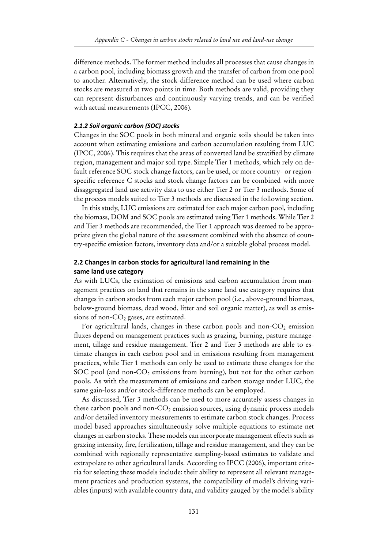difference methods**.** The former method includes all processes that cause changes in a carbon pool, including biomass growth and the transfer of carbon from one pool to another. Alternatively, the stock-difference method can be used where carbon stocks are measured at two points in time. Both methods are valid, providing they can represent disturbances and continuously varying trends, and can be verified with actual measurements (IPCC, 2006).

#### *2.1.2 Soil organic carbon (SOC) stocks*

Changes in the SOC pools in both mineral and organic soils should be taken into account when estimating emissions and carbon accumulation resulting from LUC (IPCC, 2006). This requires that the areas of converted land be stratified by climate region, management and major soil type. Simple Tier 1 methods, which rely on default reference SOC stock change factors, can be used, or more country- or regionspecific reference C stocks and stock change factors can be combined with more disaggregated land use activity data to use either Tier 2 or Tier 3 methods. Some of the process models suited to Tier 3 methods are discussed in the following section.

In this study, LUC emissions are estimated for each major carbon pool, including the biomass, DOM and SOC pools are estimated using Tier 1 methods. While Tier 2 and Tier 3 methods are recommended, the Tier 1 approach was deemed to be appropriate given the global nature of the assessment combined with the absence of country-specific emission factors, inventory data and/or a suitable global process model.

#### **2.2 Changes in carbon stocks for agricultural land remaining in the same land use category**

As with LUCs, the estimation of emissions and carbon accumulation from management practices on land that remains in the same land use category requires that changes in carbon stocks from each major carbon pool (i.e., above-ground biomass, below-ground biomass, dead wood, litter and soil organic matter), as well as emissions of non- $CO<sub>2</sub>$  gases, are estimated.

For agricultural lands, changes in these carbon pools and non- $CO<sub>2</sub>$  emission fluxes depend on management practices such as grazing, burning, pasture management, tillage and residue management. Tier 2 and Tier 3 methods are able to estimate changes in each carbon pool and in emissions resulting from management practices, while Tier 1 methods can only be used to estimate these changes for the SOC pool (and non- $CO<sub>2</sub>$  emissions from burning), but not for the other carbon pools. As with the measurement of emissions and carbon storage under LUC, the same gain-loss and/or stock-difference methods can be employed.

As discussed, Tier 3 methods can be used to more accurately assess changes in these carbon pools and non- $CO<sub>2</sub>$  emission sources, using dynamic process models and/or detailed inventory measurements to estimate carbon stock changes. Process model-based approaches simultaneously solve multiple equations to estimate net changes in carbon stocks. These models can incorporate management effects such as grazing intensity, fire, fertilization, tillage and residue management, and they can be combined with regionally representative sampling-based estimates to validate and extrapolate to other agricultural lands. According to IPCC (2006), important criteria for selecting these models include: their ability to represent all relevant management practices and production systems, the compatibility of model's driving variables (inputs) with available country data, and validity gauged by the model's ability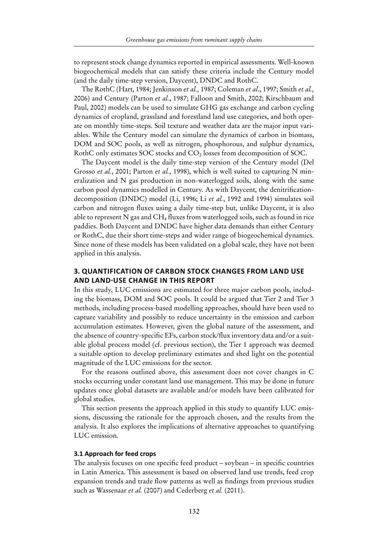to represent stock change dynamics reported in empirical assessments. Well-known biogeochemical models that can satisfy these criteria include the Century model (and the daily time-step version, Daycent), DNDC and RothC.

The RothC (Hart, 1984; Jenkinson *et al.,* 1987; Coleman *et al*., 1997; Smith *et al.,* 2006) and Century (Parton *et al.*, 1987; Falloon and Smith, 2002; Kirschbaum and Paul, 2002) models can be used to simulate GHG gas exchange and carbon cycling dynamics of cropland, grassland and forestland land use categories, and both operate on monthly time-steps. Soil texture and weather data are the major input variables. While the Century model can simulate the dynamics of carbon in biomass, DOM and SOC pools, as well as nitrogen, phosphorous, and sulphur dynamics, RothC only estimates SOC stocks and CO<sub>2</sub> losses from decomposition of SOC.

The Daycent model is the daily time-step version of the Century model (Del Grosso *et al.*, 2001; Parton *et al.*, 1998), which is well suited to capturing N mineralization and N gas production in non-waterlogged soils, along with the same carbon pool dynamics modelled in Century. As with Daycent, the denitrificationdecomposition (DNDC) model (Li, 1996; Li *et al.*, 1992 and 1994) simulates soil carbon and nitrogen fluxes using a daily time-step but, unlike Daycent, it is also able to represent N gas and CH4 fluxes from waterlogged soils, such as found in rice paddies. Both Daycent and DNDC have higher data demands than either Century or RothC, due their short time-steps and wider range of biogeochemical dynamics. Since none of these models has been validated on a global scale, they have not been applied in this analysis.

#### **3. Quantification of carbon stock changes from land use and land-use change in this report**

In this study, LUC emissions are estimated for three major carbon pools, including the biomass, DOM and SOC pools. It could be argued that Tier 2 and Tier 3 methods, including process-based modelling approaches, should have been used to capture variability and possibly to reduce uncertainty in the emission and carbon accumulation estimates. However, given the global nature of the assessment, and the absence of country-specific EFs, carbon stock/flux inventory data and/or a suitable global process model (cf. previous section), the Tier 1 approach was deemed a suitable option to develop preliminary estimates and shed light on the potential magnitude of the LUC emissions for the sector.

For the reasons outlined above, this assessment does not cover changes in C stocks occurring under constant land use management. This may be done in future updates once global datasets are available and/or models have been calibrated for global studies.

This section presents the approach applied in this study to quantify LUC emissions, discussing the rationale for the approach chosen, and the results from the analysis. It also explores the implications of alternative approaches to quantifying LUC emission.

#### **3.1 Approach for feed crops**

The analysis focuses on one specific feed product – soybean – in specific countries in Latin America. This assessment is based on observed land use trends, feed crop expansion trends and trade flow patterns as well as findings from previous studies such as Wassenaar *et al.* (2007) and Cederberg *et al.* (2011).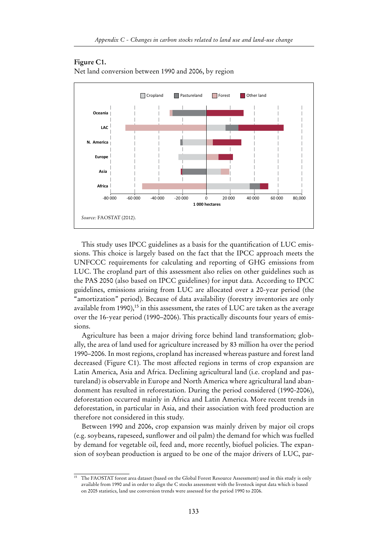# Cropland Pastureland Forest Other land **Asia Europe N. America LAC Oceania**

#### **Figure C1.**

**Africa**

*Source:* FAOSTAT (2012).

Net land conversion between 1990 and 2006, by region

This study uses IPCC guidelines as a basis for the quantification of LUC emissions. This choice is largely based on the fact that the IPCC approach meets the UNFCCC requirements for calculating and reporting of GHG emissions from LUC. The cropland part of this assessment also relies on other guidelines such as the PAS 2050 (also based on IPCC guidelines) for input data. According to IPCC guidelines, emissions arising from LUC are allocated over a 20-year period (the "amortization" period). Because of data availability (forestry inventories are only available from 1990),<sup>15</sup> in this assessment, the rates of LUC are taken as the average over the 16-year period (1990–2006). This practically discounts four years of emissions.

-80 000 -60 000 -40 000 -20 000 0 20 000 40 000 60 000 80,000

**1 000 hectares**

Agriculture has been a major driving force behind land transformation; globally, the area of land used for agriculture increased by 83 million ha over the period 1990–2006. In most regions, cropland has increased whereas pasture and forest land decreased (Figure C1). The most affected regions in terms of crop expansion are Latin America, Asia and Africa. Declining agricultural land (i.e. cropland and pastureland) is observable in Europe and North America where agricultural land abandonment has resulted in reforestation. During the period considered (1990-2006), deforestation occurred mainly in Africa and Latin America. More recent trends in deforestation, in particular in Asia, and their association with feed production are therefore not considered in this study.

Between 1990 and 2006, crop expansion was mainly driven by major oil crops (e.g. soybeans, rapeseed, sunflower and oil palm) the demand for which was fuelled by demand for vegetable oil, feed and, more recently, biofuel policies. The expansion of soybean production is argued to be one of the major drivers of LUC, par-

<sup>&</sup>lt;sup>15</sup> The FAOSTAT forest area dataset (based on the Global Forest Resource Assessment) used in this study is only available from 1990 and in order to align the C stocks assessment with the livestock input data which is based on 2005 statistics, land use conversion trends were assessed for the period 1990 to 2006.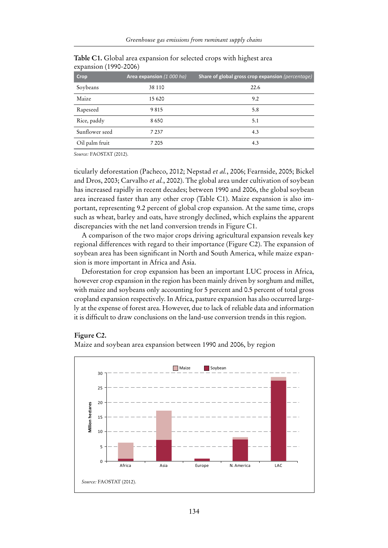| Crop           | Area expansion (1 000 ha) | Share of global gross crop expansion (percentage) |
|----------------|---------------------------|---------------------------------------------------|
| Soybeans       | 38 110                    | 22.6                                              |
| Maize          | 15 6 20                   | 9.2                                               |
| Rapeseed       | 9815                      | 5.8                                               |
| Rice, paddy    | 8650                      | 5.1                                               |
| Sunflower seed | 7 2 3 7                   | 4.3                                               |
| Oil palm fruit | 7 2 0 5                   | 4.3                                               |

**Table C1.** Global area expansion for selected crops with highest area expansion (1990-2006)

*Source:* FAOSTAT (2012).

ticularly deforestation (Pacheco, 2012; Nepstad *et al.*, 2006; Fearnside, 2005; Bickel and Dros, 2003; Carvalho *et al.*, 2002). The global area under cultivation of soybean has increased rapidly in recent decades; between 1990 and 2006, the global soybean area increased faster than any other crop (Table C1). Maize expansion is also important, representing 9.2 percent of global crop expansion. At the same time, crops such as wheat, barley and oats, have strongly declined, which explains the apparent discrepancies with the net land conversion trends in Figure C1.

A comparison of the two major crops driving agricultural expansion reveals key regional differences with regard to their importance (Figure C2). The expansion of soybean area has been significant in North and South America, while maize expansion is more important in Africa and Asia.

Deforestation for crop expansion has been an important LUC process in Africa, however crop expansion in the region has been mainly driven by sorghum and millet, with maize and soybeans only accounting for 5 percent and 0.5 percent of total gross cropland expansion respectively. In Africa, pasture expansion has also occurred largely at the expense of forest area. However, due to lack of reliable data and information it is difficult to draw conclusions on the land-use conversion trends in this region.

#### **Figure C2.**

Maize and soybean area expansion between 1990 and 2006, by region

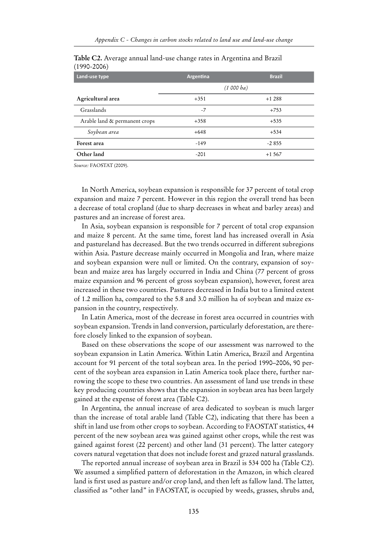| Land-use type                 | Argentina | <b>Brazil</b> |
|-------------------------------|-----------|---------------|
|                               |           | (1 000 ba)    |
| Agricultural area             | $+351$    | $+1288$       |
| Grasslands                    | $-7$      | $+753$        |
| Arable land & permanent crops | $+358$    | $+535$        |
| Soybean area                  | $+648$    | $+534$        |
| Forest area                   | $-149$    | $-2855$       |
| Other land                    | $-201$    | $+1567$       |

**Table C2.** Average annual land-use change rates in Argentina and Brazil (1990-2006)

*Source:* FAOSTAT (2009).

In North America, soybean expansion is responsible for 37 percent of total crop expansion and maize 7 percent. However in this region the overall trend has been a decrease of total cropland (due to sharp decreases in wheat and barley areas) and pastures and an increase of forest area.

In Asia, soybean expansion is responsible for 7 percent of total crop expansion and maize 8 percent. At the same time, forest land has increased overall in Asia and pastureland has decreased. But the two trends occurred in different subregions within Asia. Pasture decrease mainly occurred in Mongolia and Iran, where maize and soybean expansion were null or limited. On the contrary, expansion of soybean and maize area has largely occurred in India and China (77 percent of gross maize expansion and 96 percent of gross soybean expansion), however, forest area increased in these two countries. Pastures decreased in India but to a limited extent of 1.2 million ha, compared to the 5.8 and 3.0 million ha of soybean and maize expansion in the country, respectively.

In Latin America, most of the decrease in forest area occurred in countries with soybean expansion. Trends in land conversion, particularly deforestation, are therefore closely linked to the expansion of soybean.

Based on these observations the scope of our assessment was narrowed to the soybean expansion in Latin America. Within Latin America, Brazil and Argentina account for 91 percent of the total soybean area. In the period 1990–2006, 90 percent of the soybean area expansion in Latin America took place there, further narrowing the scope to these two countries. An assessment of land use trends in these key producing countries shows that the expansion in soybean area has been largely gained at the expense of forest area (Table C2).

In Argentina, the annual increase of area dedicated to soybean is much larger than the increase of total arable land (Table C2), indicating that there has been a shift in land use from other crops to soybean. According to FAOSTAT statistics, 44 percent of the new soybean area was gained against other crops, while the rest was gained against forest (22 percent) and other land (31 percent). The latter category covers natural vegetation that does not include forest and grazed natural grasslands.

The reported annual increase of soybean area in Brazil is 534 000 ha (Table C2). We assumed a simplified pattern of deforestation in the Amazon, in which cleared land is first used as pasture and/or crop land, and then left as fallow land. The latter, classified as "other land" in FAOSTAT, is occupied by weeds, grasses, shrubs and,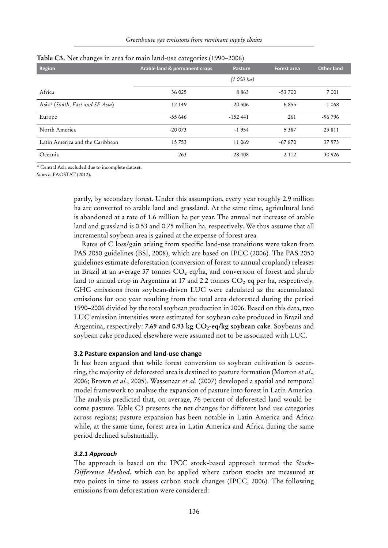| ັ<br><b>Region</b>              | Arable land & permanent crops | <b>Pasture</b> | <b>Forest area</b> | <b>Other land</b> |
|---------------------------------|-------------------------------|----------------|--------------------|-------------------|
|                                 |                               | (1 000 ha)     |                    |                   |
| Africa                          | 36 025                        | 8 8 6 3        | $-53700$           | 7 0 0 1           |
| Asia* (South, East and SE Asia) | 12 149                        | $-20,506$      | 6855               | $-1068$           |
| Europe                          | $-55646$                      | $-152441$      | 261                | $-96796$          |
| North America                   | $-20073$                      | $-1954$        | 5 3 8 7            | 23 811            |
| Latin America and the Caribbean | 15 7 5 3                      | 11 069         | $-67870$           | 37 973            |
| Oceania                         | $-263$                        | $-28408$       | $-2112$            | 30 9 26           |

#### **Table C3.** Net changes in area for main land-use categories (1990–2006)

*\** Central Asia excluded due to incomplete dataset.

*Source:* FAOSTAT (2012).

partly, by secondary forest. Under this assumption, every year roughly 2.9 million ha are converted to arable land and grassland. At the same time, agricultural land is abandoned at a rate of 1.6 million ha per year. The annual net increase of arable land and grassland is 0.53 and 0.75 million ha, respectively. We thus assume that all incremental soybean area is gained at the expense of forest area.

Rates of C loss/gain arising from specific land-use transitions were taken from PAS 2050 guidelines (BSI, 2008), which are based on IPCC (2006). The PAS 2050 guidelines estimate deforestation (conversion of forest to annual cropland) releases in Brazil at an average 37 tonnes  $CO_2$ -eq/ha, and conversion of forest and shrub land to annual crop in Argentina at 17 and 2.2 tonnes  $CO<sub>2</sub>$ -eq per ha, respectively. GHG emissions from soybean-driven LUC were calculated as the accumulated emissions for one year resulting from the total area deforested during the period 1990–2006 divided by the total soybean production in 2006. Based on this data, two LUC emission intensities were estimated for soybean cake produced in Brazil and Argentina, respectively: **7.69 and 0.93 kg CO<sub>2</sub>-eq/kg soybean cake**. Soybeans and soybean cake produced elsewhere were assumed not to be associated with LUC.

#### **3.2 Pasture expansion and land-use change**

It has been argued that while forest conversion to soybean cultivation is occurring, the majority of deforested area is destined to pasture formation (Morton *et al*., 2006; Brown *et al.*, 2005). Wassenaar *et al.* (2007) developed a spatial and temporal model framework to analyse the expansion of pasture into forest in Latin America. The analysis predicted that, on average, 76 percent of deforested land would become pasture. Table C3 presents the net changes for different land use categories across regions; pasture expansion has been notable in Latin America and Africa while, at the same time, forest area in Latin America and Africa during the same period declined substantially.

#### *3.2.1 Approach*

The approach is based on the IPCC stock-based approach termed the *Stock-Difference Method*, which can be applied where carbon stocks are measured at two points in time to assess carbon stock changes (IPCC, 2006). The following emissions from deforestation were considered: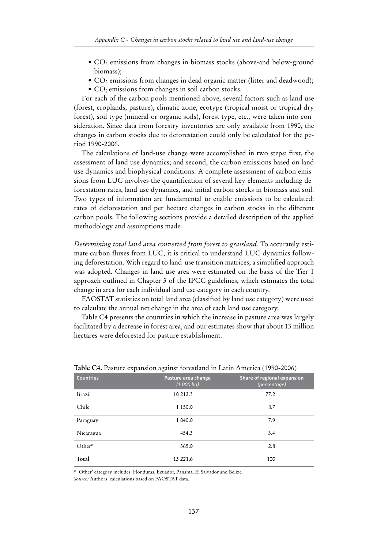- $\bullet$  CO<sub>2</sub> emissions from changes in biomass stocks (above-and below-ground biomass);
- $CO<sub>2</sub>$  emissions from changes in dead organic matter (litter and deadwood);
- $\bullet$  CO<sub>2</sub> emissions from changes in soil carbon stocks.

For each of the carbon pools mentioned above, several factors such as land use (forest, croplands, pasture), climatic zone, ecotype (tropical moist or tropical dry forest), soil type (mineral or organic soils), forest type, etc., were taken into consideration. Since data from forestry inventories are only available from 1990, the changes in carbon stocks due to deforestation could only be calculated for the period 1990-2006.

The calculations of land-use change were accomplished in two steps: first, the assessment of land use dynamics; and second, the carbon emissions based on land use dynamics and biophysical conditions. A complete assessment of carbon emissions from LUC involves the quantification of several key elements including deforestation rates, land use dynamics, and initial carbon stocks in biomass and soil. Two types of information are fundamental to enable emissions to be calculated: rates of deforestation and per hectare changes in carbon stocks in the different carbon pools. The following sections provide a detailed description of the applied methodology and assumptions made.

*Determining total land area converted from forest to grassland.* To accurately estimate carbon fluxes from LUC, it is critical to understand LUC dynamics following deforestation. With regard to land-use transition matrices, a simplified approach was adopted. Changes in land use area were estimated on the basis of the Tier 1 approach outlined in Chapter 3 of the IPCC guidelines, which estimates the total change in area for each individual land use category in each country.

FAOSTAT statistics on total land area (classified by land use category) were used to calculate the annual net change in the area of each land use category.

Table C4 presents the countries in which the increase in pasture area was largely facilitated by a decrease in forest area, and our estimates show that about 13 million hectares were deforested for pasture establishment.

| л.               | $\mathbf \sigma$                  |                                             |
|------------------|-----------------------------------|---------------------------------------------|
| <b>Countries</b> | Pasture area change<br>(1 000 ha) | Share of regional expansion<br>(percentage) |
| Brazil           | 10 212.3                          | 77.2                                        |
| Chile            | 1 150.0                           | 8.7                                         |
| Paraguay         | 1 040.0                           | 7.9                                         |
| Nicaragua        | 454.3                             | 3.4                                         |
| Other*           | 365.0                             | 2.8                                         |
| Total            | 13 221.6                          | 100                                         |

**Table C4.** Pasture expansion against forestland in Latin America (1990-2006)

*\** 'Other' category includes: Honduras, Ecuador, Panama, El Salvador and Belize.

*Source:* Authors' calculations based on FAOSTAT data.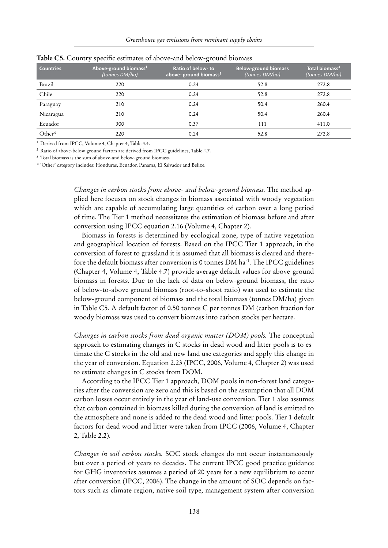| <b>Countries</b> | Above-ground biomass <sup>1</sup><br>(tonnes DM/ha) | Ratio of below-to<br>above-ground biomass <sup>2</sup> | <b>Below-ground biomass</b><br>(tonnes DM/ha) | Total biomass <sup>3</sup><br>(tonnes DM/ha) |
|------------------|-----------------------------------------------------|--------------------------------------------------------|-----------------------------------------------|----------------------------------------------|
| Brazil           | 220                                                 | 0.24                                                   | 52.8                                          | 272.8                                        |
| Chile            | 220                                                 | 0.24                                                   | 52.8                                          | 272.8                                        |
| Paraguay         | 210                                                 | 0.24                                                   | 50.4                                          | 260.4                                        |
| Nicaragua        | 210                                                 | 0.24                                                   | 50.4                                          | 260.4                                        |
| Ecuador          | 300                                                 | 0.37                                                   | 111                                           | 411.0                                        |
| Other*           | 220                                                 | 0.24                                                   | 52.8                                          | 272.8                                        |

**Table C5.** Country specific estimates of above-and below-ground biomass

<sup>1</sup> Derived from IPCC, Volume 4, Chapter 4, Table 4.4.

<sup>2</sup> Ratio of above-below ground factors are derived from IPCC guidelines, Table 4.7.

<sup>3</sup> Total biomass is the sum of above-and below-ground biomass.

*\** 'Other' category includes: Honduras, Ecuador, Panama, El Salvador and Belize.

*Changes in carbon stocks from above- and below-ground biomass.* The method applied here focuses on stock changes in biomass associated with woody vegetation which are capable of accumulating large quantities of carbon over a long period of time. The Tier 1 method necessitates the estimation of biomass before and after conversion using IPCC equation 2.16 (Volume 4, Chapter 2).

Biomass in forests is determined by ecological zone, type of native vegetation and geographical location of forests. Based on the IPCC Tier 1 approach, in the conversion of forest to grassland it is assumed that all biomass is cleared and therefore the default biomass after conversion is 0 tonnes DM ha<sup>-1</sup>. The IPCC guidelines (Chapter 4, Volume 4, Table 4.7) provide average default values for above-ground biomass in forests. Due to the lack of data on below-ground biomass, the ratio of below-to-above ground biomass (root-to-shoot ratio) was used to estimate the below-ground component of biomass and the total biomass (tonnes DM/ha) given in Table C5. A default factor of 0.50 tonnes C per tonnes DM (carbon fraction for woody biomass was used to convert biomass into carbon stocks per hectare.

*Changes in carbon stocks from dead organic matter (DOM) pools.* The conceptual approach to estimating changes in C stocks in dead wood and litter pools is to estimate the C stocks in the old and new land use categories and apply this change in the year of conversion. Equation 2.23 (IPCC, 2006, Volume 4, Chapter 2) was used to estimate changes in C stocks from DOM.

According to the IPCC Tier 1 approach, DOM pools in non-forest land categories after the conversion are zero and this is based on the assumption that all DOM carbon losses occur entirely in the year of land-use conversion. Tier 1 also assumes that carbon contained in biomass killed during the conversion of land is emitted to the atmosphere and none is added to the dead wood and litter pools. Tier 1 default factors for dead wood and litter were taken from IPCC (2006, Volume 4, Chapter 2, Table 2.2).

*Changes in soil carbon stocks.* SOC stock changes do not occur instantaneously but over a period of years to decades. The current IPCC good practice guidance for GHG inventories assumes a period of 20 years for a new equilibrium to occur after conversion (IPCC, 2006). The change in the amount of SOC depends on factors such as climate region, native soil type, management system after conversion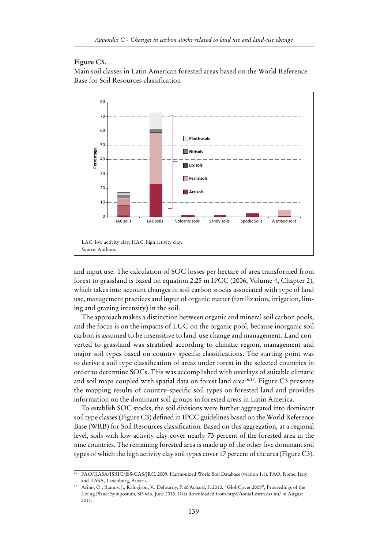#### **Figure C3.**

Main soil classes in Latin American forested areas based on the World Reference Base for Soil Resources classification



and input use. The calculation of SOC losses per hectare of area transformed from forest to grassland is based on equation 2.25 in IPCC (2006, Volume 4, Chapter 2), which takes into account changes in soil carbon stocks associated with type of land use, management practices and input of organic matter (fertilization, irrigation, liming and grazing intensity) in the soil.

The approach makes a distinction between organic and mineral soil carbon pools, and the focus is on the impacts of LUC on the organic pool, because inorganic soil carbon is assumed to be insensitive to land-use change and management. Land converted to grassland was stratified according to climatic region, management and major soil types based on country specific classifications. The starting point was to derive a soil type classification of areas under forest in the selected countries in order to determine SOCs. This was accomplished with overlays of suitable climatic and soil maps coupled with spatial data on forest land area<sup>16,17</sup>. Figure C3 presents the mapping results of country-specific soil types on forested land and provides information on the dominant soil groups in forested areas in Latin America.

To establish SOC stocks, the soil divisions were further aggregated into dominant soil type classes (Figure C3) defined in IPCC guidelines based on the World Reference Base (WRB) for Soil Resources classification. Based on this aggregation, at a regional level, soils with low activity clay cover nearly 73 percent of the forested area in the nine countries. The remaining forested area is made up of the other five dominant soil types of which the high activity clay soil types cover 17 percent of the area (Figure C3).

<sup>&</sup>lt;sup>16</sup> FAO/IIASA/ISRIC/ISS-CAS/JRC. 2009. Harmonized World Soil Database (version 1.1). FAO, Rome, Italy and IIASA, Laxenburg, Austria.

Arino, O., Ramos, J., Kalogirou, V., Defourny, P. & Achard, F. 2010. "GlobCover 2009", Proceedings of the Living Planet Symposium, SP-686, June 2010. Data downloaded from http://ionia1.esrin.esa.int/ in August 2011.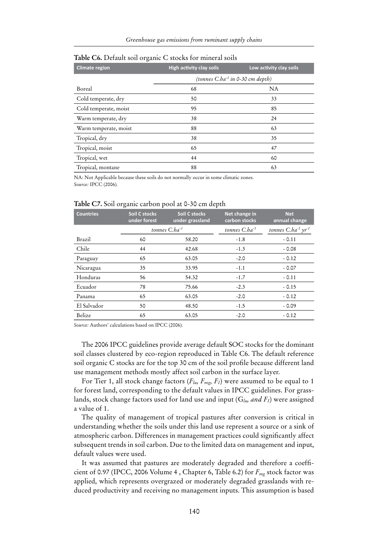| <b>Climate region</b> | <b>High activity clay soils</b>       | Low activity clay soils |
|-----------------------|---------------------------------------|-------------------------|
|                       | (tonnes $C.ha^{-1}$ in 0-30 cm depth) |                         |
| Boreal                | 68                                    | <b>NA</b>               |
| Cold temperate, dry   | 50                                    | 33                      |
| Cold temperate, moist | 95                                    | 85                      |
| Warm temperate, dry   | 38                                    | 24                      |
| Warm temperate, moist | 88                                    | 63                      |
| Tropical, dry         | 38                                    | 35                      |
| Tropical, moist       | 65                                    | 47                      |
| Tropical, wet         | 44                                    | 60                      |
| Tropical, montane     | 88                                    | 63                      |

#### **Table C6.** Default soil organic C stocks for mineral soils

NA: Not Applicable because these soils do not normally occur in some climatic zones. *Source:* IPCC (2006)*.*

#### **Table C7.** Soil organic carbon pool at 0-30 cm depth

| <b>Countries</b> | <b>Soil C stocks</b><br>under forest | Soil C stocks<br>under grassland | Net change in<br>carbon stocks | <b>Net</b><br>annual change        |
|------------------|--------------------------------------|----------------------------------|--------------------------------|------------------------------------|
|                  |                                      | tonnes $Cba-1$                   | tonnes $C_bba^{-1}$            | tonnes $C.ha^{-1}$ $\gamma r^{-1}$ |
| Brazil           | 60                                   | 58.20                            | $-1.8$                         | $-0.11$                            |
| Chile            | 44                                   | 42.68                            | $-1.3$                         | $-0.08$                            |
| Paraguay         | 65                                   | 63.05                            | $-2.0$                         | $-0.12$                            |
| Nicaragua        | 35                                   | 33.95                            | $-1.1$                         | $-0.07$                            |
| Honduras         | 56                                   | 54.32                            | $-1.7$                         | $-0.11$                            |
| Ecuador          | 78                                   | 75.66                            | $-2.3$                         | $-0.15$                            |
| Panama           | 65                                   | 63.05                            | $-2.0$                         | $-0.12$                            |
| El Salvador      | 50                                   | 48.50                            | $-1.5$                         | $-0.09$                            |
| Belize           | 65                                   | 63.05                            | $-2.0$                         | $-0.12$                            |

*Source:* Authors' calculations based on IPCC (2006).

The 2006 IPCC guidelines provide average default SOC stocks for the dominant soil classes clustered by eco-region reproduced in Table C6. The default reference soil organic C stocks are for the top 30 cm of the soil profile because different land use management methods mostly affect soil carbon in the surface layer.

For Tier 1, all stock change factors (*Flu, Fmg, FI*) were assumed to be equal to 1 for forest land, corresponding to the default values in IPCC guidelines. For grasslands, stock change factors used for land use and input (G*lu, and FI*) were assigned a value of 1.

The quality of management of tropical pastures after conversion is critical in understanding whether the soils under this land use represent a source or a sink of atmospheric carbon. Differences in management practices could significantly affect subsequent trends in soil carbon. Due to the limited data on management and input, default values were used.

It was assumed that pastures are moderately degraded and therefore a coefficient of 0.97 (IPCC, 2006 Volume 4 , Chapter 6, Table 6.2) for *Fmg* stock factor was applied, which represents overgrazed or moderately degraded grasslands with reduced productivity and receiving no management inputs. This assumption is based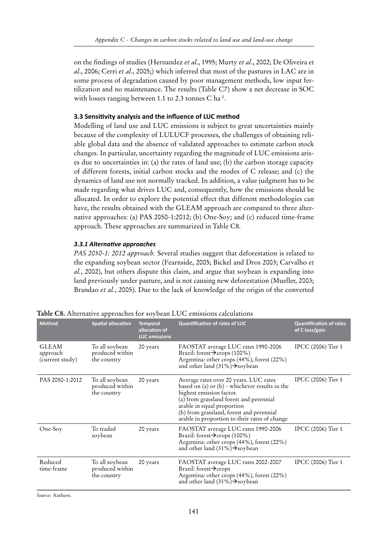on the findings of studies (Hernandez *et al*., 1995; Murty *et al*., 2002; De Oliveira *et al*., 2006; Cerri *et al*., 2005;) which inferred that most of the pastures in LAC are in some process of degradation caused by poor management methods, low input fertilization and no maintenance. The results (Table C7) show a net decrease in SOC with losses ranging between 1.1 to 2.3 tonnes  $C$  ha<sup>-1</sup>.

#### **3.3 Sensitivity analysis and the influence of LUC method**

Modelling of land use and LUC emissions is subject to great uncertainties mainly because of the complexity of LULUCF processes, the challenges of obtaining reliable global data and the absence of validated approaches to estimate carbon stock changes. In particular, uncertainty regarding the magnitude of LUC emissions arises due to uncertainties in: (a) the rates of land use; (b) the carbon storage capacity of different forests, initial carbon stocks and the modes of C release; and (c) the dynamics of land use not normally tracked. In addition, a value judgment has to be made regarding what drives LUC and, consequently, how the emissions should be allocated. In order to explore the potential effect that different methodologies can have, the results obtained with the GLEAM approach are compared to three alternative approaches: (a) PAS 2050-1:2012; (b) One-Soy; and (c) reduced time-frame approach. These approaches are summarized in Table C8.

#### *3.3.1 Alternative approaches*

*PAS 2050-1: 2012 approach.* Several studies suggest that deforestation is related to the expanding soybean sector (Fearnside, 2005; Bickel and Dros 2003; Carvalho *et al.*, 2002), but others dispute this claim, and argue that soybean is expanding into land previously under pasture, and is not causing new deforestation (Mueller, 2003; Brandao *et al.*, 2005). Due to the lack of knowledge of the origin of the converted

| <b>Method</b>                               | <b>Spatial allocation</b>                        | <b>Temporal</b><br>allocation of<br><b>LUC</b> emissions | <b>Quantification of rates of LUC</b>                                                                                                                                                                                                                                                      | <b>Quantification of rates</b><br>of C loss/gain |
|---------------------------------------------|--------------------------------------------------|----------------------------------------------------------|--------------------------------------------------------------------------------------------------------------------------------------------------------------------------------------------------------------------------------------------------------------------------------------------|--------------------------------------------------|
| <b>GLEAM</b><br>approach<br>(current study) | To all soybean<br>produced within<br>the country | 20 years                                                 | FAOSTAT average LUC rates 1990-2006<br>Brazil: forest $\rightarrow$ crops (100%)<br>Argentina: other crops (44%), forest (22%)<br>and other land $(31\%)\rightarrow$ soybean                                                                                                               | IPCC (2006) Tier 1                               |
| PAS 2050-1:2012                             | To all soybean<br>produced within<br>the country | 20 years                                                 | Average rates over 20 years. LUC rates<br>based on (a) or (b) - whichever results in the<br>highest emission factor.<br>(a) from grassland forest and perennial<br>arable in equal proportion<br>(b) from grassland, forest and perennial<br>arable in proportion to their rates of change | IPCC (2006) Tier 1                               |
| One-Soy                                     | To traded<br>soybean                             | 20 years                                                 | FAOSTAT average LUC rates 1990-2006<br>Brazil: forest $\rightarrow$ crops (100%)<br>Argentina: other crops (44%), forest (22%)<br>and other land $(31\%)\rightarrow$ soybean                                                                                                               | IPCC (2006) Tier 1                               |
| Reduced<br>time-frame                       | To all soybean<br>produced within<br>the country | 20 years                                                 | FAOSTAT average LUC rates 2002-2007<br>Brazil: forest $\rightarrow$ crops<br>Argentina: other crops (44%), forest (22%)<br>and other land $(31\%)\rightarrow$ soybean                                                                                                                      | IPCC (2006) Tier 1                               |

**Table C8.** Alternative approaches for soybean LUC emissions calculations

*Source:* Authors.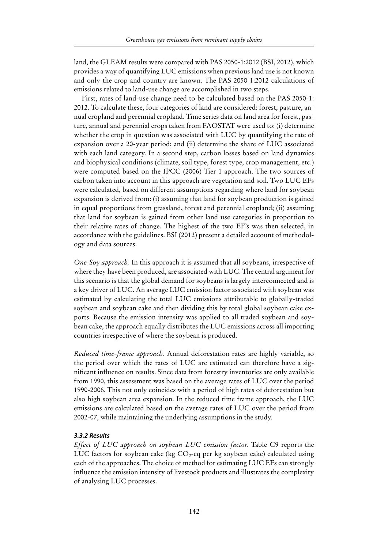land, the GLEAM results were compared with PAS 2050-1:2012 (BSI, 2012), which provides a way of quantifying LUC emissions when previous land use is not known and only the crop and country are known. The PAS 2050-1:2012 calculations of emissions related to land-use change are accomplished in two steps.

First, rates of land-use change need to be calculated based on the PAS 2050-1: 2012. To calculate these, four categories of land are considered: forest, pasture, annual cropland and perennial cropland. Time series data on land area for forest, pasture, annual and perennial crops taken from FAOSTAT were used to: (i) determine whether the crop in question was associated with LUC by quantifying the rate of expansion over a 20-year period; and (ii) determine the share of LUC associated with each land category. In a second step, carbon losses based on land dynamics and biophysical conditions (climate, soil type, forest type, crop management, etc.) were computed based on the IPCC (2006) Tier 1 approach. The two sources of carbon taken into account in this approach are vegetation and soil. Two LUC EFs were calculated, based on different assumptions regarding where land for soybean expansion is derived from: (i) assuming that land for soybean production is gained in equal proportions from grassland, forest and perennial cropland; (ii) assuming that land for soybean is gained from other land use categories in proportion to their relative rates of change. The highest of the two EF's was then selected, in accordance with the guidelines. BSI (2012) present a detailed account of methodology and data sources.

*One-Soy approach.* In this approach it is assumed that all soybeans, irrespective of where they have been produced, are associated with LUC. The central argument for this scenario is that the global demand for soybeans is largely interconnected and is a key driver of LUC. An average LUC emission factor associated with soybean was estimated by calculating the total LUC emissions attributable to globally-traded soybean and soybean cake and then dividing this by total global soybean cake exports. Because the emission intensity was applied to all traded soybean and soybean cake, the approach equally distributes the LUC emissions across all importing countries irrespective of where the soybean is produced.

*Reduced time-frame approach.* Annual deforestation rates are highly variable, so the period over which the rates of LUC are estimated can therefore have a significant influence on results. Since data from forestry inventories are only available from 1990, this assessment was based on the average rates of LUC over the period 1990-2006. This not only coincides with a period of high rates of deforestation but also high soybean area expansion. In the reduced time frame approach, the LUC emissions are calculated based on the average rates of LUC over the period from 2002-07, while maintaining the underlying assumptions in the study.

#### *3.3.2 Results*

*Effect of LUC approach on soybean LUC emission factor.* Table C9 reports the LUC factors for soybean cake (kg  $CO<sub>2</sub>$ -eq per kg soybean cake) calculated using each of the approaches. The choice of method for estimating LUC EFs can strongly influence the emission intensity of livestock products and illustrates the complexity of analysing LUC processes.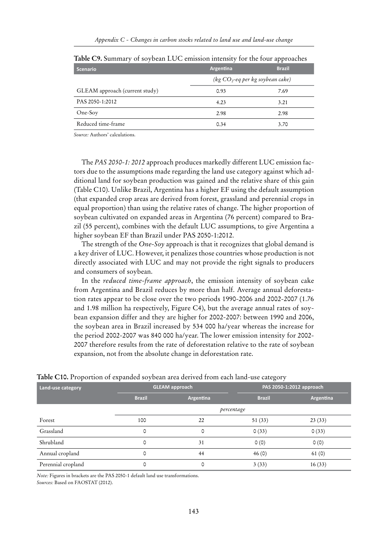| <b>Scenario</b>                | Argentina                           | <b>Brazil</b> |
|--------------------------------|-------------------------------------|---------------|
|                                | (kg $CO_2$ -eq per kg soybean cake) |               |
| GLEAM approach (current study) | 0.93                                | 7.69          |
| PAS 2050-1:2012                | 4.23                                | 3.21          |
| One-Soy                        | 2.98                                | 2.98          |
| Reduced time-frame             | 0.34                                | 3.70          |

**Table C9.** Summary of soybean LUC emission intensity for the four approaches

*Source:* Authors' calculations.

The *PAS 2050-1: 2012* approach produces markedly different LUC emission factors due to the assumptions made regarding the land use category against which additional land for soybean production was gained and the relative share of this gain (Table C10). Unlike Brazil, Argentina has a higher EF using the default assumption (that expanded crop areas are derived from forest, grassland and perennial crops in equal proportion) than using the relative rates of change. The higher proportion of soybean cultivated on expanded areas in Argentina (76 percent) compared to Brazil (55 percent), combines with the default LUC assumptions, to give Argentina a higher soybean EF than Brazil under PAS 2050-1:2012.

The strength of the *One-Soy* approach is that it recognizes that global demand is a key driver of LUC. However, it penalizes those countries whose production is not directly associated with LUC and may not provide the right signals to producers and consumers of soybean.

In the *reduced time-frame approach*, the emission intensity of soybean cake from Argentina and Brazil reduces by more than half. Average annual deforestation rates appear to be close over the two periods 1990-2006 and 2002-2007 (1.76 and 1.98 million ha respectively, Figure C4), but the average annual rates of soybean expansion differ and they are higher for 2002-2007: between 1990 and 2006, the soybean area in Brazil increased by 534 000 ha/year whereas the increase for the period 2002-2007 was 840 000 ha/year. The lower emission intensity for 2002- 2007 therefore results from the rate of deforestation relative to the rate of soybean expansion, not from the absolute change in deforestation rate.

|                    |               |                       | $\bm{\omega}$ |                          |
|--------------------|---------------|-----------------------|---------------|--------------------------|
| Land-use category  |               | <b>GLEAM approach</b> |               | PAS 2050-1:2012 approach |
|                    | <b>Brazil</b> | Argentina             | <b>Brazil</b> | Argentina                |
|                    |               | percentage            |               |                          |
| Forest             | 100           | 22                    | 51(33)        | 23(33)                   |
| Grassland          | 0             | 0                     | 0(33)         | 0(33)                    |
| Shrubland          | 0             | 31                    | 0(0)          | 0(0)                     |
| Annual cropland    | 0             | 44                    | 46(0)         | 61(0)                    |
| Perennial cropland | 0             | 0                     | 3(33)         | 16(33)                   |

#### **Table C10.** Proportion of expanded soybean area derived from each land-use category

*Note:* Figures in brackets are the PAS 2050-1 default land use transformations. *Sources:* Based on FAOSTAT (2012).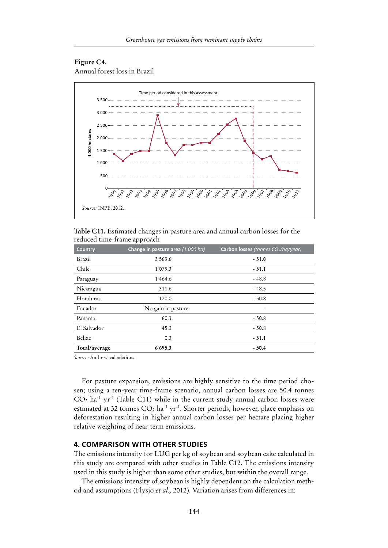#### **Figure C4.** Annual forest loss in Brazil



**Table C11.** Estimated changes in pasture area and annual carbon losses for the reduced time-frame approach

| <b>Country</b> | Change in pasture area (1 000 ha) | Carbon losses (tonnes CO <sub>2</sub> /ha/year) |
|----------------|-----------------------------------|-------------------------------------------------|
| Brazil         | 3 5 6 3 . 6                       | $-51.0$                                         |
| Chile          | 1 079.3                           | $-51.1$                                         |
| Paraguay       | 1 4 6 4 . 6                       | $-48.8$                                         |
| Nicaragua      | 311.6                             | $-48.5$                                         |
| Honduras       | 170.0                             | $-50.8$                                         |
| Ecuador        | No gain in pasture                | -                                               |
| Panama         | 60.3                              | $-50.8$                                         |
| El Salvador    | 45.3                              | $-50.8$                                         |
| Belize         | 0.3                               | $-51.1$                                         |
| Total/average  | 6695.3                            | $-50.4$                                         |

*Source:* Authors' calculations.

For pasture expansion, emissions are highly sensitive to the time period chosen; using a ten-year time-frame scenario, annual carbon losses are 50.4 tonnes  $CO<sub>2</sub>$  ha<sup>-1</sup> yr<sup>-1</sup> (Table C11) while in the current study annual carbon losses were estimated at 32 tonnes  $CO<sub>2</sub>$  ha<sup>-1</sup> yr<sup>-1</sup>. Shorter periods, however, place emphasis on deforestation resulting in higher annual carbon losses per hectare placing higher relative weighting of near-term emissions.

#### **4. Comparison with other studies**

The emissions intensity for LUC per kg of soybean and soybean cake calculated in this study are compared with other studies in Table C12. The emissions intensity used in this study is higher than some other studies, but within the overall range.

The emissions intensity of soybean is highly dependent on the calculation method and assumptions (Flysjo *et al.,* 2012). Variation arises from differences in: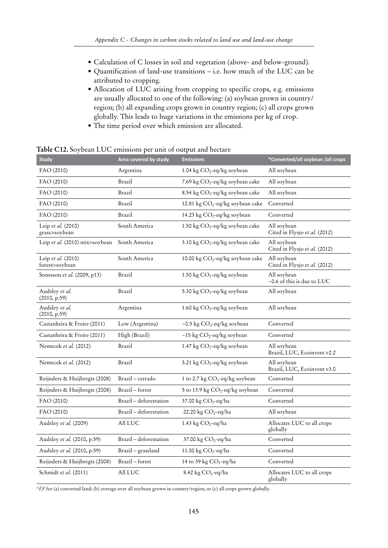- Calculation of C losses in soil and vegetation (above- and below-ground).
- • Quantification of land-use transitions i.e. how much of the LUC can be attributed to cropping.
- • Allocation of LUC arising from cropping to specific crops, e.g. emissions are usually allocated to one of the following: (a) soybean grown in country/ region; (b) all expanding crops grown in country region; (c) all crops grown globally. This leads to huge variations in the emissions per kg of crop.
- • The time period over which emission are allocated.

| <b>Study</b>                         | Area covered by study  | <b>Emissions</b>                             | *Converted/all soybean /all crops               |
|--------------------------------------|------------------------|----------------------------------------------|-------------------------------------------------|
| FAO (2010)                           | Argentina              | 1.04 kg CO <sub>2</sub> -eq/kg soybean       | All soybean                                     |
| FAO (2010)                           | Brazil                 | 7.69 kg CO <sub>2</sub> -eq/kg soybean cake  | All soybean                                     |
| FAO (2010)                           | Brazil                 | 8.54 kg CO <sub>2</sub> -eq/kg soybean cake  | All soybean                                     |
| FAO (2010)                           | Brazil                 | 12.81 kg CO <sub>2</sub> -eq/kg soybean cake | Converted                                       |
| FAO (2010)                           | Brazil                 | 14.23 kg CO <sub>2</sub> -eq/kg soybean      | Converted                                       |
| Leip et al. (2010)<br>grass>soybean  | South America          | 1.50 kg CO <sub>2</sub> -eq/kg soybean cake  | All soybean<br>Cited in Flysjo et al. (2012)    |
| Leip et al. (2010) mix>soybean       | South America          | 3.10 kg CO <sub>2</sub> -eq/kg soybean cake  | All soybean<br>Cited in Flysjo et al. (2012)    |
| Leip et al. (2010)<br>forest>soybean | South America          | 10.00 kg $CO_2$ -eq/kg soybean cake          | All soybean<br>Cited in Flysjo et al. (2012)    |
| Sonesson et al. (2009, p13)          | <b>Brazil</b>          | 1.50 kg $CO_2$ -eq/kg soybean                | All soybean<br>$\sim$ 0.6 of this is due to LUC |
| Audsley et al.<br>(2010, p.59)       | Brazil                 | 5.30 kg CO <sub>2</sub> -eq/kg soybean       | All soybean                                     |
| Audsley et al.<br>(2010, p.59)       | Argentina              | 1.60 kg $CO_2$ -eq/kg soybean                | All soybean                                     |
| Castanheira & Freire (2011)          | Low (Argentina)        | ~0.5 kg $CO_2$ -eq/kg soybean                | Converted                                       |
| Castanheira & Freire (2011)          | High (Brazil)          | ~15 kg $CO_2$ -eq/kg soybean                 | Converted                                       |
| Nemecek et al. (2012)                | Brazil                 | 1.47 kg CO <sub>2</sub> -eq/kg soybean       | All soybean<br>Brazil, LUC, Ecoinvent v2.2      |
| Nemecek et al. (2012)                | Brazil                 | 5.21 kg $CO_2$ -eq/kg soybean                | All soybean<br>Brazil, LUC, Ecoinvent v3.0      |
| Reijnders & Huijbregts (2008)        | Brazil - cerrado       | 1 to 2.7 kg CO <sub>2</sub> -eq/kg soybean   | Converted                                       |
| Reijnders & Huijbregts (2008)        | Brazil - forest        | 5 to 13.9 kg CO <sub>2</sub> -eq/kg soybean  | Converted                                       |
| FAO (2010)                           | Brazil - deforestation | 37.00 kg CO <sub>2</sub> -eq/ha              | Converted                                       |
| FAO (2010)                           | Brazil - deforestation | 22.20 kg $CO2$ -eq/ha                        | All soybean                                     |
| Audsley et al. (2009)                | All LUC                | 1.43 kg $CO2$ -eq/ha                         | Allocates LUC to all crops<br>globally          |
| Audsley et al. (2010, p.59)          | Brazil - deforestation | 37.00 kg CO <sub>2</sub> -eq/ha              | Converted                                       |
| Audsley et al. (2010, p.59)          | Brazil - grassland     | 11.00 kg $CO2$ -eq/ha                        | Converted                                       |
| Reijnders & Huijbregts (2008)        | Brazil - forest        | 14 to 39 kg $CO_2$ -eq/ha                    | Converted                                       |
| Schmidt et al. (2011)                | All LUC                | 8.42 kg CO <sub>2</sub> -eq/ha               | Allocates LUC to all crops<br>globally          |

**Table C12.** Soybean LUC emissions per unit of output and hectare

*\*EF* for (a) converted land; (b) average over all soybean grown in country/region; or (c) all crops grown globally.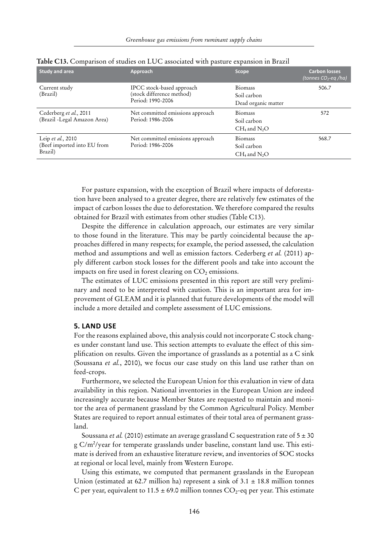| <b>Study and area</b>                                       | Approach                                                                    | <b>Scope</b>                                         | <b>Carbon losses</b><br>(tonnes CO <sub>2</sub> -eq /ha) |
|-------------------------------------------------------------|-----------------------------------------------------------------------------|------------------------------------------------------|----------------------------------------------------------|
| Current study<br>(Brazil)                                   | IPCC stock-based approach<br>(stock difference method)<br>Period: 1990-2006 | <b>Biomass</b><br>Soil carbon<br>Dead organic matter | 506.7                                                    |
| Cederberg et al., 2011<br>(Brazil -Legal Amazon Area)       | Net committed emissions approach<br>Period: 1986-2006                       | <b>Biomass</b><br>Soil carbon<br>$CH_4$ and $N_2O$   | 572                                                      |
| Leip et al., 2010<br>(Beef imported into EU from<br>Brazil) | Net committed emissions approach<br>Period: 1986-2006                       | Biomass<br>Soil carbon<br>$CH_4$ and $N_2O$          | 568.7                                                    |

**Table C13.** Comparison of studies on LUC associated with pasture expansion in Brazil

For pasture expansion, with the exception of Brazil where impacts of deforestation have been analysed to a greater degree, there are relatively few estimates of the impact of carbon losses the due to deforestation. We therefore compared the results obtained for Brazil with estimates from other studies (Table C13).

Despite the difference in calculation approach, our estimates are very similar to those found in the literature. This may be partly coincidental because the approaches differed in many respects; for example, the period assessed, the calculation method and assumptions and well as emission factors. Cederberg *et al.* (2011) apply different carbon stock losses for the different pools and take into account the impacts on fire used in forest clearing on  $CO<sub>2</sub>$  emissions.

The estimates of LUC emissions presented in this report are still very preliminary and need to be interpreted with caution. This is an important area for improvement of GLEAM and it is planned that future developments of the model will include a more detailed and complete assessment of LUC emissions.

#### **5. Land use**

For the reasons explained above, this analysis could not incorporate C stock changes under constant land use. This section attempts to evaluate the effect of this simplification on results. Given the importance of grasslands as a potential as a C sink (Soussana *et al.*, 2010), we focus our case study on this land use rather than on feed-crops.

Furthermore, we selected the European Union for this evaluation in view of data availability in this region. National inventories in the European Union are indeed increasingly accurate because Member States are requested to maintain and monitor the area of permanent grassland by the Common Agricultural Policy. Member States are required to report annual estimates of their total area of permanent grassland.

Soussana *et al.* (2010) estimate an average grassland C sequestration rate of  $5 \pm 30$ g C/m2 /year for temperate grasslands under baseline, constant land use. This estimate is derived from an exhaustive literature review, and inventories of SOC stocks at regional or local level, mainly from Western Europe.

Using this estimate, we computed that permanent grasslands in the European Union (estimated at 62.7 million ha) represent a sink of  $3.1 \pm 18.8$  million tonnes C per year, equivalent to 11.5  $\pm$  69.0 million tonnes CO<sub>2</sub>-eq per year. This estimate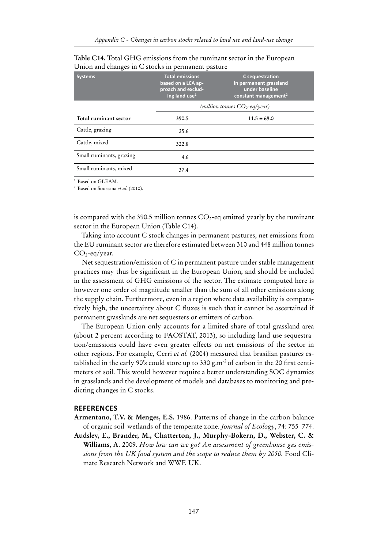| <b>Systems</b>           | <b>Total emissions</b><br>based on a LCA ap-<br>proach and exclud-<br>ing land use $1$ | C sequestration<br>in permanent grassland<br>under baseline<br>constant management <sup>2</sup> |
|--------------------------|----------------------------------------------------------------------------------------|-------------------------------------------------------------------------------------------------|
|                          |                                                                                        | (million tonnes $CO_2$ -eq/year)                                                                |
| Total ruminant sector    | 390.5                                                                                  | $11.5 \pm 69.0$                                                                                 |
| Cattle, grazing          | 25.6                                                                                   |                                                                                                 |
| Cattle, mixed            | 322.8                                                                                  |                                                                                                 |
| Small ruminants, grazing | 4.6                                                                                    |                                                                                                 |
| Small ruminants, mixed   | 37.4                                                                                   |                                                                                                 |

**Table C14.** Total GHG emissions from the ruminant sector in the European Union and changes in C stocks in permanent pasture

<sup>1</sup> Based on GLEAM.

<sup>2</sup> Based on Soussana *et al.* (2010).

is compared with the 390.5 million tonnes  $CO<sub>2</sub>$ -eq emitted yearly by the ruminant sector in the European Union (Table C14).

Taking into account C stock changes in permanent pastures, net emissions from the EU ruminant sector are therefore estimated between 310 and 448 million tonnes  $CO<sub>2</sub>$ -eq/year.

Net sequestration/emission of C in permanent pasture under stable management practices may thus be significant in the European Union, and should be included in the assessment of GHG emissions of the sector. The estimate computed here is however one order of magnitude smaller than the sum of all other emissions along the supply chain. Furthermore, even in a region where data availability is comparatively high, the uncertainty about C fluxes is such that it cannot be ascertained if permanent grasslands are net sequesters or emitters of carbon.

The European Union only accounts for a limited share of total grassland area (about 2 percent according to FAOSTAT, 2013), so including land use sequestration/emissions could have even greater effects on net emissions of the sector in other regions. For example, Cerri *et al.* (2004) measured that brasilian pastures established in the early 90's could store up to 330 g.m<sup>-2</sup> of carbon in the 20 first centimeters of soil. This would however require a better understanding SOC dynamics in grasslands and the development of models and databases to monitoring and predicting changes in C stocks.

#### **References**

- **Armentano, T.V. & Menges, E.S.** 1986. Patterns of change in the carbon balance of organic soil-wetlands of the temperate zone. *Journal of Ecology*, 74: 755–774.
- **Audsley, E., Brander, M., Chatterton, J., Murphy-Bokern, D., Webster, C. & Williams, A**. 2009. *How low can we go? An assessment of greenhouse gas emissions from the UK food system and the scope to reduce them by 2050.* Food Climate Research Network and WWF. UK.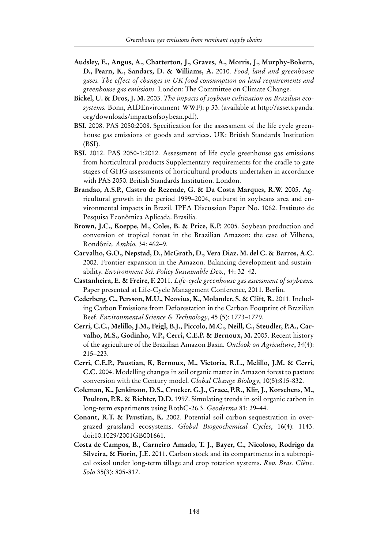- **Audsley, E., Angus, A., Chatterton, J., Graves, A., Morris, J., Murphy-Bokern, D., Pearn, K., Sandars, D. & Williams, A.** 2010. *Food, land and greenhouse gases. The effect of changes in UK food consumption on land requirements and greenhouse gas emissions.* London: The Committee on Climate Change.
- **Bickel, U. & Dros, J. M.** 2003. *The impacts of soybean cultivation on Brazilian ecosystems.* Bonn, AIDEnvironment-WWF): p 33. (available at http://assets.panda. org/downloads/impactsofsoybean.pdf).
- **BSI.** 2008. PAS 2050:2008. Specification for the assessment of the life cycle greenhouse gas emissions of goods and services. UK: British Standards Institution (BSI).
- **BSI.** 2012. PAS 2050-1:2012. Assessment of life cycle greenhouse gas emissions from horticultural products Supplementary requirements for the cradle to gate stages of GHG assessments of horticultural products undertaken in accordance with PAS 2050. British Standards Institution. London.
- **Brandao, A.S.P., Castro de Rezende, G. & Da Costa Marques, R.W.** 2005. Agricultural growth in the period 1999–2004, outburst in soybeans area and environmental impacts in Brazil. IPEA Discussion Paper No. 1062. Instituto de Pesquisa Econômica Aplicada. Brasilia.
- **Brown, J.C., Koeppe, M., Coles, B. & Price, K.P.** 2005. Soybean production and conversion of tropical forest in the Brazilian Amazon: the case of Vilhena, Rondônia. *Ambio,* 34: 462–9.
- **Carvalho, G.O., Nepstad, D., McGrath, D., Vera Diaz. M. del C. & Barros, A.C.** 2002. Frontier expansion in the Amazon. Balancing development and sustainability. *Environment Sci. Policy Sustainable Dev.*, 44: 32–42.
- **Castanheira, E. & Freire, F.** 2011. *Life-cycle greenhouse gas assessment of soybeans.*  Paper presented at Life-Cycle Management Conference, 2011. Berlin.
- **Cederberg, C., Persson, M.U., Neovius, K., Molander, S. & Clift, R.** 2011. Including Carbon Emissions from Deforestation in the Carbon Footprint of Brazilian Beef. *Environmental Science & Technology*, 45 (5): 1773–1779.
- **Cerri, C.C., Melillo, J.M., Feigl, B.J., Piccolo, M.C., Neill, C., Steudler, P.A., Carvalho, M.S., Godinho, V.P., Cerri, C.E.P. & Bernoux, M.** 2005. Recent history of the agriculture of the Brazilian Amazon Basin. *Outlook on Agriculture*, 34(4): 215–223.
- **Cerri, C.E.P., Paustian, K, Bernoux, M., Victoria, R.L., Melillo, J.M. & Cerri, C.C.** 2004. Modelling changes in soil organic matter in Amazon forest to pasture conversion with the Century model. *Global Change Biology*, 10(5):815-832.
- **Coleman, K., Jenkinson, D.S., Crocker, G.J., Grace, P.R., Klir, J., Korschens, M., Poulton, P.R. & Richter, D.D.** 1997. Simulating trends in soil organic carbon in long-term experiments using RothC-26.3. *Geoderma* 81: 29–44.
- **Conant, R.T. & Paustian, K.** 2002. Potential soil carbon sequestration in overgrazed grassland ecosystems. *Global Biogeochemical Cycles*, 16(4): 1143. doi:10.1029/2001GB001661.
- **Costa de Campos, B., Carneiro Amado, T. J., Bayer, C., Nicoloso, Rodrigo da Silveira, & Fiorin, J.E.** 2011. Carbon stock and its compartments in a subtropical oxisol under long-term tillage and crop rotation systems. *Rev. Bras. Ciênc*. *Solo* 35(3): 805-817.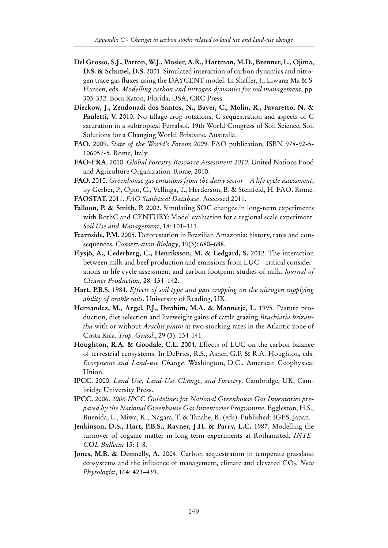- **Del Grosso, S.J., Parton, W.J., Mosier, A.R., Hartman, M.D., Brenner, L., Ojima, D.S. & Schimel, D.S.** 2001. Simulated interaction of carbon dynamics and nitrogen trace gas fluxes using the DAYCENT model. In Shaffer, J., Liwang Ma & S. Hansen, eds. *Modelling carbon and nitrogen dynamics for soil management*, pp. 303-332. Boca Raton, Florida, USA, CRC Press.
- **Dieckow, J., Zendonadi dos Santos, N., Bayer, C., Molin, R., Favaretto, N. & Pauletti, V.** 2010. No-tillage crop rotations, C sequestration and aspects of C saturation in a subtropical Ferralsol. 19th World Congress of Soil Science, Soil Solutions for a Changing World. Brisbane, Australia.
- **FAO.** 2009. *State of the World's Forests 2009*. FAO publication, ISBN 978-92-5- 106057-5. Rome, Italy.
- **FAO-FRA.** 2010. *Global Forestry Resource Assessment 2010*. United Nations Food and Agriculture Organization: Rome, 2010.
- **FAO.** 2010. *Greenhouse gas emissions from the dairy sector A life cycle assessment*, by Gerber, P., Opio, C., Vellinga, T., Herderson, B. & Steinfeld, H. FAO. Rome. **FAOSTAT.** 2011. *FAO Statistical Database*. Accessed 2011.
- **Falloon, P. & Smith, P.** 2002. Simulating SOC changes in long-term experiments with RothC and CENTURY: Model evaluation for a regional scale experiment. *Soil Use and Management*, 18: 101–111.
- **Fearnside, P.M.** 2005. Deforestation in Brazilian Amazonia: history, rates and consequences. *Conservation Biology*, 19(3): 680–688.
- **Flysjö, A., Cederberg, C., Henriksson, M. & Ledgard, S.** 2012. The interaction between milk and beef production and emissions from LUC - critical considerations in life cycle assessment and carbon footprint studies of milk. *Journal of Cleaner Production*, 28: 134–142.
- **Hart, P.B.S.** 1984. *Effects of soil type and past cropping on the nitrogen supplying ability of arable soils*. University of Reading, UK.
- **Hernandez, M., Argel, P.J., Ibrahim, M.A. & Mannetje, L.** 1995. Pasture production, diet selection and liveweight gains of cattle grazing *Brachiaria brizantha* with or without *Arachis pintoi* at two stocking rates in the Atlantic zone of Costa Rica. *Trop. Grassl*., 29 (3): 134-141
- **Houghton, R.A. & Goodale, C.L.** 2004. Effects of LUC on the carbon balance of terrestrial ecosystems. In DeFries, R.S., Asner, G.P. & R.A. Houghton, eds. *Ecosystems and Land-use Change*. Washington, D.C., American Geophysical Union.
- **IPCC.** 2000. *Land Use, Land-Use Change, and Forestry*. Cambridge, UK, Cambridge University Press.
- **IPCC.** 2006. *2006 IPCC Guidelines for National Greenhouse Gas Inventories prepared by the National Greenhause Gas Inventories Programme,* Eggleston, H.S., Buenida, L., Miwa, K., Nagara, T. & Tanabe, K. (eds). Published: IGES, Japan.
- **Jenkinson, D.S., Hart, P.B.S., Rayner, J.H. & Parry, L.C.** 1987. Modelling the turnover of organic matter in long-term experiments at Rothamsted. *INTE-COL Bulletin* 15: 1-8.
- **Jones, M.B. & Donnelly, A.** 2004. Carbon sequestration in temperate grassland ecosystems and the influence of management, climate and elevated CO<sub>2</sub>. *New Phytologist*, 164: 423–439.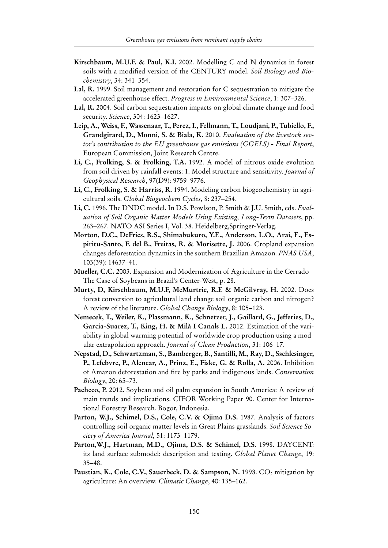- **Kirschbaum, M.U.F. & Paul, K.I.** 2002. Modelling C and N dynamics in forest soils with a modified version of the CENTURY model. *Soil Biology and Biochemistry*, 34: 341–354.
- **Lal, R.** 1999. Soil management and restoration for C sequestration to mitigate the accelerated greenhouse effect. *Progress in Environmental Science*, 1: 307–326.
- **Lal, R.** 2004. Soil carbon sequestration impacts on global climate change and food security. *Science*, 304: 1623–1627.
- **Leip, A., Weiss, F., Wassenaar, T., Perez, I., Fellmann, T., Loudjani, P., Tubiello, F., Grandgirard, D., Monni, S. & Biala, K.** 2010. *Evaluation of the livestock sector's contribution to the EU greenhouse gas emissions (GGELS) - Final Report*, European Commission, Joint Research Centre.
- **Li, C., Frolking, S. & Frolking, T.A.** 1992. A model of nitrous oxide evolution from soil driven by rainfall events: 1. Model structure and sensitivity. *Journal of Geophysical Research*, 97(D9): 9759–9776.
- **Li, C., Frolking, S. & Harriss, R.** 1994. Modeling carbon biogeochemistry in agricultural soils. *Global Biogeochem Cycles*, 8: 237–254.
- **Li, C.** 1996. The DNDC model. In D.S. Powlson, P. Smith & J.U. Smith, eds. *Evaluation of Soil Organic Matter Models Using Existing, Long-Term Datasets*, pp. 263–267. NATO ASI Series I, Vol. 38. Heidelberg,Springer-Verlag.
- **Morton, D.C., DeFries, R.S., Shimabukuro, Y.E., Anderson, L.O., Arai, E., Espiritu-Santo, F. del B., Freitas, R. & Morisette, J.** 2006. Cropland expansion changes deforestation dynamics in the southern Brazilian Amazon. *PNAS USA*, 103(39): 14637–41.
- **Mueller, C.C.** 2003. Expansion and Modernization of Agriculture in the Cerrado The Case of Soybeans in Brazil's Center-West, p. 28.
- **Murty, D, Kirschbaum, M.U.F, McMurtrie, R.E & McGilvray, H.** 2002. Does forest conversion to agricultural land change soil organic carbon and nitrogen? A review of the literature. *Global Change Biology*, 8: 105–123.
- **Nemecek, T., Weiler, K., Plassmann, K., Schnetzer, J., Gaillard, G., Jefferies, D., Garcia-Suarez, T., King, H. & Milà I Canals L.** 2012. Estimation of the variability in global warming potential of worldwide crop production using a modular extrapolation approach. *Journal of Clean Production*, 31: 106–17.
- **Nepstad, D., Schwartzman, S., Bamberger, B., Santilli, M., Ray, D., Sschlesinger, P., Lefebvre, P., Alencar, A., Prinz, E., Fiske, G. & Rolla, A.** 2006. Inhibition of Amazon deforestation and fire by parks and indigenous lands. *Conservation Biology*, 20: 65–73.
- **Pacheco, P.** 2012. Soybean and oil palm expansion in South America: A review of main trends and implications. CIFOR Working Paper 90. Center for International Forestry Research. Bogor, Indonesia.
- Parton, W.J., Schimel, D.S., Cole, C.V. & Ojima D.S. 1987. Analysis of factors controlling soil organic matter levels in Great Plains grasslands. *Soil Science Society of America Journal,* 51: 1173–1179.
- **Parton,W.J., Hartman, M.D., Ojima, D.S. & Schimel, D.S.** 1998. DAYCENT: its land surface submodel: description and testing. *Global Planet Change*, 19: 35–48.
- Paustian, K., Cole, C.V., Sauerbeck, D. & Sampson, N. 1998. CO<sub>2</sub> mitigation by agriculture: An overview. *Climatic Change*, 40: 135–162.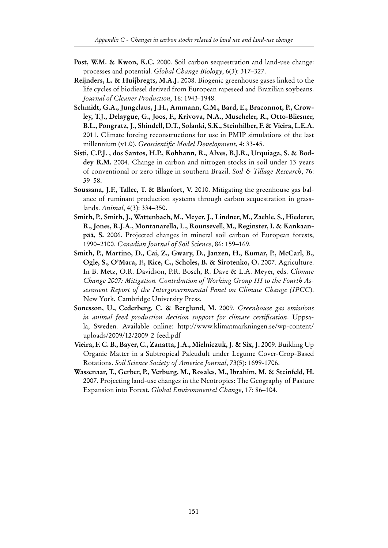- **Post, W.M. & Kwon, K.C.** 2000. Soil carbon sequestration and land-use change: processes and potential. *Global Change Biology*, 6(3): 317–327.
- **Reijnders, L. & Huijbregts, M.A.J.** 2008. Biogenic greenhouse gases linked to the life cycles of biodiesel derived from European rapeseed and Brazilian soybeans. *Journal of Cleaner Production,* 16: 1943-1948.
- **Schmidt, G.A., Jungclaus, J.H., Ammann, C.M., Bard, E., Braconnot, P., Crowley, T.J., Delaygue, G., Joos, F., Krivova, N.A., Muscheler, R., Otto-Bliesner, B.L., Pongratz, J., Shindell, D.T., Solanki, S.K., Steinhilber, F. & Vieira, L.E.A.** 2011. Climate forcing reconstructions for use in PMIP simulations of the last millennium (v1.0). *Geoscientific Model Development*, 4: 33-45.
- **Sisti, C.P.J. , dos Santos, H.P., Kohhann, R., Alves, B.J.R., Urquiaga, S. & Boddey R.M.** 2004. Change in carbon and nitrogen stocks in soil under 13 years of conventional or zero tillage in southern Brazil. *Soil & Tillage Research*, 76: 39–58.
- **Soussana, J.F., Tallec, T. & Blanfort, V.** 2010. Mitigating the greenhouse gas balance of ruminant production systems through carbon sequestration in grasslands. *Animal*, 4(3): 334–350.
- **Smith, P., Smith, J., Wattenbach, M., Meyer, J., Lindner, M., Zaehle, S., Hiederer, R., Jones, R.J.A., Montanarella, L., Rounsevell, M., Reginster, I. & Kankaanpää, S.** 2006. Projected changes in mineral soil carbon of European forests, 1990–2100. *Canadian Journal of Soil Science*, 86: 159–169.
- **Smith, P., Martino, D., Cai, Z., Gwary, D., Janzen, H., Kumar, P., McCarl, B., Ogle, S., O'Mara, F., Rice, C., Scholes, B. & Sirotenko, O.** 2007. Agriculture. In B. Metz, O.R. Davidson, P.R. Bosch, R. Dave & L.A. Meyer, eds. *Climate Change 2007: Mitigation. Contribution of Working Group III to the Fourth Assessment Report of the Intergovernmental Panel on Climate Change (IPCC*). New York, Cambridge University Press.
- **Sonesson, U., Cederberg, C. & Berglund, M.** 2009. *Greenhouse gas emissions in animal feed production decision support for climate certification*. Uppsala, Sweden. Available online: http://www.klimatmarkningen.se/wp-content/ uploads/2009/12/2009-2-feed.pdf
- **Vieira, F. C. B., Bayer, C., Zanatta, J.A., Mielniczuk, J. & Six, J.** 2009. Building Up Organic Matter in a Subtropical Paleudult under Legume Cover-Crop-Based Rotations. *Soil Science Society of America Journal*, 73(5): 1699-1706.
- **Wassenaar, T., Gerber, P., Verburg, M., Rosales, M., Ibrahim, M. & Steinfeld, H.** 2007. Projecting land-use changes in the Neotropics: The Geography of Pasture Expansion into Forest. *Global Environmental Change*, 17: 86–104.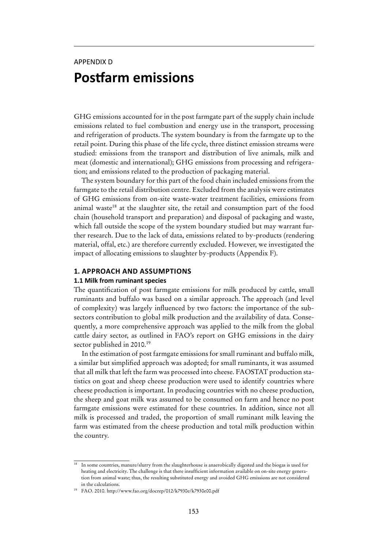## APPENDIX D **Postfarm emissions**

GHG emissions accounted for in the post farmgate part of the supply chain include emissions related to fuel combustion and energy use in the transport, processing and refrigeration of products. The system boundary is from the farmgate up to the retail point. During this phase of the life cycle, three distinct emission streams were studied: emissions from the transport and distribution of live animals, milk and meat (domestic and international); GHG emissions from processing and refrigeration; and emissions related to the production of packaging material.

The system boundary for this part of the food chain included emissions from the farmgate to the retail distribution centre. Excluded from the analysis were estimates of GHG emissions from on-site waste-water treatment facilities, emissions from animal waste<sup>18</sup> at the slaughter site, the retail and consumption part of the food chain (household transport and preparation) and disposal of packaging and waste, which fall outside the scope of the system boundary studied but may warrant further research. Due to the lack of data, emissions related to by-products (rendering material, offal, etc.) are therefore currently excluded. However, we investigated the impact of allocating emissions to slaughter by-products (Appendix F).

#### **1. approach and assumptions**

#### **1.1 Milk from ruminant species**

The quantification of post farmgate emissions for milk produced by cattle, small ruminants and buffalo was based on a similar approach. The approach (and level of complexity) was largely influenced by two factors: the importance of the subsectors contribution to global milk production and the availability of data. Consequently, a more comprehensive approach was applied to the milk from the global cattle dairy sector, as outlined in FAO's report on GHG emissions in the dairy sector published in 2010.<sup>19</sup>

In the estimation of post farmgate emissions for small ruminant and buffalo milk, a similar but simplified approach was adopted; for small ruminants, it was assumed that all milk that left the farm was processed into cheese. FAOSTAT production statistics on goat and sheep cheese production were used to identify countries where cheese production is important. In producing countries with no cheese production, the sheep and goat milk was assumed to be consumed on farm and hence no post farmgate emissions were estimated for these countries. In addition, since not all milk is processed and traded, the proportion of small ruminant milk leaving the farm was estimated from the cheese production and total milk production within the country.

<sup>18</sup> In some countries, manure/slurry from the slaughterhouse is anaerobically digested and the biogas is used for heating and electricity. The challenge is that there insufficient information available on on-site energy generation from animal waste; thus, the resulting substituted energy and avoided GHG emissions are not considered in the calculations.

<sup>19</sup> FAO. 2010. http://www.fao.org/docrep/012/k7930e/k7930e00.pdf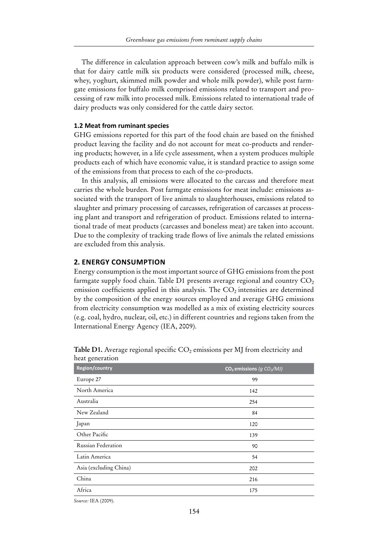The difference in calculation approach between cow's milk and buffalo milk is that for dairy cattle milk six products were considered (processed milk, cheese, whey, yoghurt, skimmed milk powder and whole milk powder), while post farmgate emissions for buffalo milk comprised emissions related to transport and processing of raw milk into processed milk. Emissions related to international trade of dairy products was only considered for the cattle dairy sector.

#### **1.2 Meat from ruminant species**

GHG emissions reported for this part of the food chain are based on the finished product leaving the facility and do not account for meat co-products and rendering products; however, in a life cycle assessment, when a system produces multiple products each of which have economic value, it is standard practice to assign some of the emissions from that process to each of the co-products.

In this analysis, all emissions were allocated to the carcass and therefore meat carries the whole burden. Post farmgate emissions for meat include: emissions associated with the transport of live animals to slaughterhouses, emissions related to slaughter and primary processing of carcasses, refrigeration of carcasses at processing plant and transport and refrigeration of product. Emissions related to international trade of meat products (carcasses and boneless meat) are taken into account. Due to the complexity of tracking trade flows of live animals the related emissions are excluded from this analysis.

#### **2. Energy consumption**

Energy consumption is the most important source of GHG emissions from the post farmgate supply food chain. Table D1 presents average regional and country  $CO<sub>2</sub>$ emission coefficients applied in this analysis. The  $CO<sub>2</sub>$  intensities are determined by the composition of the energy sources employed and average GHG emissions from electricity consumption was modelled as a mix of existing electricity sources (e.g. coal, hydro, nuclear, oil, etc.) in different countries and regions taken from the International Energy Agency (IEA, 2009).

| ncac generation        |                                         |
|------------------------|-----------------------------------------|
| <b>Region/country</b>  | $CO2$ emissions (g CO <sub>2</sub> /MJ) |
| Europe 27              | 99                                      |
| North America          | 142                                     |
| Australia              | 254                                     |
| New Zealand            | 84                                      |
| Japan                  | 120                                     |
| Other Pacific          | 139                                     |
| Russian Federation     | 90                                      |
| Latin America          | 54                                      |
| Asia (excluding China) | 202                                     |
| China                  | 216                                     |
| Africa                 | 175                                     |
| .                      |                                         |

**Table D1.** Average regional specific  $CO<sub>2</sub>$  emissions per MJ from electricity and heat generation

*Source:* IEA (2009).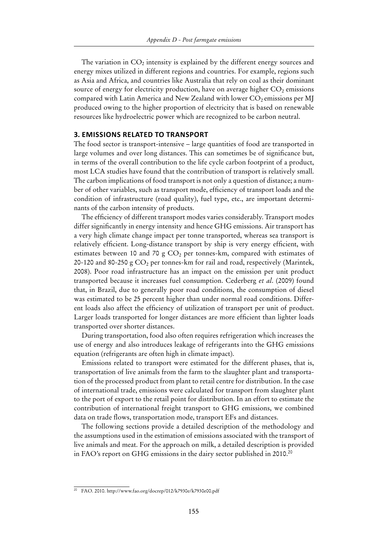The variation in  $CO<sub>2</sub>$  intensity is explained by the different energy sources and energy mixes utilized in different regions and countries. For example, regions such as Asia and Africa, and countries like Australia that rely on coal as their dominant source of energy for electricity production, have on average higher  $CO<sub>2</sub>$  emissions compared with Latin America and New Zealand with lower  $CO<sub>2</sub>$  emissions per MJ produced owing to the higher proportion of electricity that is based on renewable resources like hydroelectric power which are recognized to be carbon neutral.

#### **3. Emissions related to transport**

The food sector is transport-intensive – large quantities of food are transported in large volumes and over long distances. This can sometimes be of significance but, in terms of the overall contribution to the life cycle carbon footprint of a product, most LCA studies have found that the contribution of transport is relatively small. The carbon implications of food transport is not only a question of distance; a number of other variables, such as transport mode, efficiency of transport loads and the condition of infrastructure (road quality), fuel type, etc., are important determinants of the carbon intensity of products.

The efficiency of different transport modes varies considerably. Transport modes differ significantly in energy intensity and hence GHG emissions. Air transport has a very high climate change impact per tonne transported, whereas sea transport is relatively efficient. Long-distance transport by ship is very energy efficient, with estimates between 10 and 70 g  $CO<sub>2</sub>$  per tonnes-km, compared with estimates of 20-120 and 80-250 g  $CO<sub>2</sub>$  per tonnes-km for rail and road, respectively (Marintek, 2008). Poor road infrastructure has an impact on the emission per unit product transported because it increases fuel consumption. Cederberg *et al*. (2009) found that, in Brazil, due to generally poor road conditions, the consumption of diesel was estimated to be 25 percent higher than under normal road conditions. Different loads also affect the efficiency of utilization of transport per unit of product. Larger loads transported for longer distances are more efficient than lighter loads transported over shorter distances.

During transportation, food also often requires refrigeration which increases the use of energy and also introduces leakage of refrigerants into the GHG emissions equation (refrigerants are often high in climate impact).

Emissions related to transport were estimated for the different phases, that is, transportation of live animals from the farm to the slaughter plant and transportation of the processed product from plant to retail centre for distribution. In the case of international trade, emissions were calculated for transport from slaughter plant to the port of export to the retail point for distribution. In an effort to estimate the contribution of international freight transport to GHG emissions, we combined data on trade flows, transportation mode, transport EFs and distances.

The following sections provide a detailed description of the methodology and the assumptions used in the estimation of emissions associated with the transport of live animals and meat. For the approach on milk, a detailed description is provided in FAO's report on GHG emissions in the dairy sector published in 2010.<sup>20</sup>

<sup>&</sup>lt;sup>20</sup> FAO. 2010. http://www.fao.org/docrep/012/k7930e/k7930e00.pdf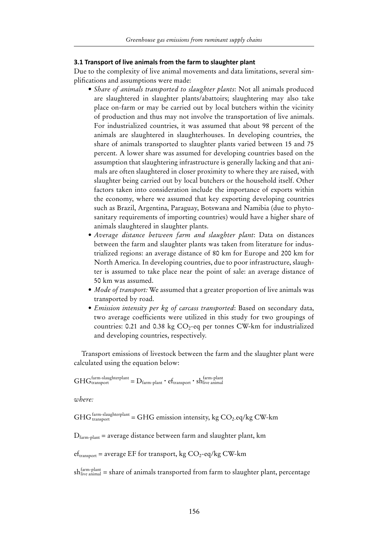#### **3.1 Transport of live animals from the farm to slaughter plant**

Due to the complexity of live animal movements and data limitations, several simplifications and assumptions were made:

- *• Share of animals transported to slaughter plants*: Not all animals produced are slaughtered in slaughter plants/abattoirs; slaughtering may also take place on-farm or may be carried out by local butchers within the vicinity of production and thus may not involve the transportation of live animals. For industrialized countries, it was assumed that about 98 percent of the animals are slaughtered in slaughterhouses. In developing countries, the share of animals transported to slaughter plants varied between 15 and 75 percent. A lower share was assumed for developing countries based on the assumption that slaughtering infrastructure is generally lacking and that animals are often slaughtered in closer proximity to where they are raised, with slaughter being carried out by local butchers or the household itself. Other factors taken into consideration include the importance of exports within the economy, where we assumed that key exporting developing countries such as Brazil, Argentina, Paraguay, Botswana and Namibia (due to phytosanitary requirements of importing countries) would have a higher share of animals slaughtered in slaughter plants.
- *• Average distance between farm and slaughter plant*: Data on distances between the farm and slaughter plants was taken from literature for industrialized regions: an average distance of 80 km for Europe and 200 km for North America. In developing countries, due to poor infrastructure, slaughter is assumed to take place near the point of sale: an average distance of 50 km was assumed.
- *• Mode of transport:* We assumed that a greater proportion of live animals was transported by road.
- *• Emission intensity per kg of carcass transported*: Based on secondary data, two average coefficients were utilized in this study for two groupings of countries: 0.21 and 0.38 kg  $CO<sub>2</sub>$ -eq per tonnes CW-km for industrialized and developing countries, respectively.

Transport emissions of livestock between the farm and the slaughter plant were calculated using the equation below:

 $GHG_{transport}^{farm-slaughterplant} = D_{farm-plant} \cdot ef_{transport} \cdot sh_{live\, animal}^{farm-plant}$ 

*where:*

 $GHG_{transport}^{farm-slaughterplant} = GHG$  emission intensity, kg  $CO_2$ -eq/kg CW-km

 $D_{\text{farm-plan}}$  = average distance between farm and slaughter plant, km

 $ef<sub>transport</sub> = average EF for transport, kg CO<sub>2</sub>-eq/kg CW-km$ 

 $sh_{\text{live animal}}^{\text{farm-plant}}$  = share of animals transported from farm to slaughter plant, percentage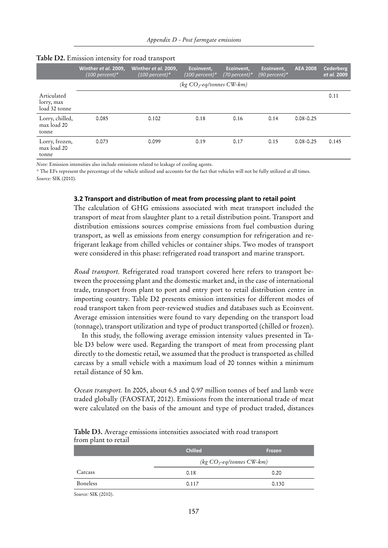|                                            | Winther et al. 2009,<br>(100 percent)* | Winther et al. 2009,<br>(100 percent)* | Ecoinvent,<br>(100 percent)*  | Ecoinvent,<br>$(70$ percent)* | Ecoinvent,<br>$(90$ percent)* | <b>AEA 2008</b> | Cederberg<br>et al. 2009 |
|--------------------------------------------|----------------------------------------|----------------------------------------|-------------------------------|-------------------------------|-------------------------------|-----------------|--------------------------|
|                                            |                                        |                                        | ( $kg CO_2$ -eq/tonnes CW-km) |                               |                               |                 |                          |
| Articulated<br>lorry, max<br>load 32 tonne |                                        |                                        |                               |                               |                               |                 | 0.11                     |
| Lorry, chilled,<br>max load 20<br>tonne    | 0.085                                  | 0.102                                  | 0.18                          | 0.16                          | 0.14                          | $0.08 - 0.25$   |                          |
| Lorry, frozen,<br>max load 20<br>tonne     | 0.073                                  | 0.099                                  | 0.19                          | 0.17                          | 0.15                          | $0.08 - 0.25$   | 0.145                    |

#### **Table D2.** Emission intensity for road transport

*Note:* Emission intensities also include emissions related to leakage of cooling agents.

*\** The EFs represent the percentage of the vehicle utilized and accounts for the fact that vehicles will not be fully utilized at all times. *Source:* SIK (2010).

#### **3.2 Transport and distribution of meat from processing plant to retail point**

The calculation of GHG emissions associated with meat transport included the transport of meat from slaughter plant to a retail distribution point. Transport and distribution emissions sources comprise emissions from fuel combustion during transport, as well as emissions from energy consumption for refrigeration and refrigerant leakage from chilled vehicles or container ships. Two modes of transport were considered in this phase: refrigerated road transport and marine transport.

*Road transport.* Refrigerated road transport covered here refers to transport between the processing plant and the domestic market and, in the case of international trade, transport from plant to port and entry port to retail distribution centre in importing country. Table D2 presents emission intensities for different modes of road transport taken from peer-reviewed studies and databases such as Ecoinvent. Average emission intensities were found to vary depending on the transport load (tonnage), transport utilization and type of product transported (chilled or frozen).

In this study, the following average emission intensity values presented in Table D3 below were used. Regarding the transport of meat from processing plant directly to the domestic retail, we assumed that the product is transported as chilled carcass by a small vehicle with a maximum load of 20 tonnes within a minimum retail distance of 50 km.

*Ocean transport.* In 2005, about 6.5 and 0.97 million tonnes of beef and lamb were traded globally (FAOSTAT, 2012). Emissions from the international trade of meat were calculated on the basis of the amount and type of product traded, distances

| 11 oni piani co recan |                              |        |  |
|-----------------------|------------------------------|--------|--|
|                       | <b>Chilled</b>               | Frozen |  |
|                       | (kg $CO_2$ -eq/tonnes CW-km) |        |  |
| Carcass               | 0.18                         | 0.20   |  |
| Boneless              | 0.117                        | 0.130  |  |

**Table D3.** Average emissions intensities associated with road transport from plant to retail

*Source:* SIK (2010).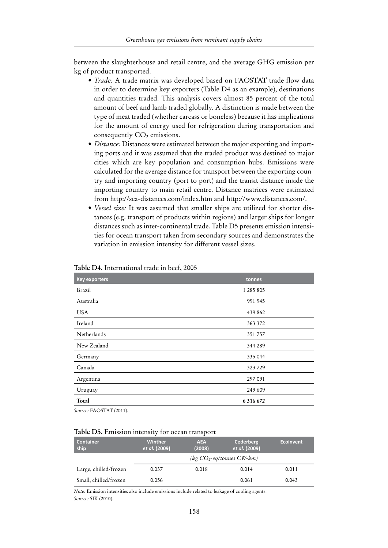between the slaughterhouse and retail centre, and the average GHG emission per kg of product transported.

- *• Trade:* A trade matrix was developed based on FAOSTAT trade flow data in order to determine key exporters (Table D4 as an example), destinations and quantities traded. This analysis covers almost 85 percent of the total amount of beef and lamb traded globally. A distinction is made between the type of meat traded (whether carcass or boneless) because it has implications for the amount of energy used for refrigeration during transportation and consequently  $CO<sub>2</sub>$  emissions.
- *Distance:* Distances were estimated between the major exporting and importing ports and it was assumed that the traded product was destined to major cities which are key population and consumption hubs. Emissions were calculated for the average distance for transport between the exporting country and importing country (port to port) and the transit distance inside the importing country to main retail centre. Distance matrices were estimated from http://sea-distances.com/index.htm and http://www.distances.com/.
- *• Vessel size:* It was assumed that smaller ships are utilized for shorter distances (e.g. transport of products within regions) and larger ships for longer distances such as inter-continental trade. Table D5 presents emission intensities for ocean transport taken from secondary sources and demonstrates the variation in emission intensity for different vessel sizes.

| <b>Key exporters</b> | tonnes        |
|----------------------|---------------|
| Brazil               | 1 285 805     |
| Australia            | 991 945       |
| <b>USA</b>           | 439 862       |
| Ireland              | 363 372       |
| Netherlands          | 351 757       |
| New Zealand          | 344 289       |
| Germany              | 335 044       |
| Canada               | 323729        |
| Argentina            | 297 091       |
| Uruguay              | 249 609       |
| Total                | 6 3 1 6 6 7 2 |
|                      |               |

**Table D4.** International trade in beef, 2005

*Source:* FAOSTAT (2011).

#### **Table D5.** Emission intensity for ocean transport

| <b>Container</b><br>ship | Winther<br><i>et al.</i> (2009) | <b>AEA</b><br>(2008) | <b>Cederberg</b><br>et al. (2009) | <b>Ecoinvent</b> |
|--------------------------|---------------------------------|----------------------|-----------------------------------|------------------|
|                          |                                 |                      | $\log CO_2$ -eq/tonnes CW-km)     |                  |
| Large, chilled/frozen    | 0.037                           | 0.018                | 0.014                             | 0.011            |
| Small, chilled/frozen    | 0.056                           |                      | 0.061                             | 0.043            |

*Note:* Emission intensities also include emissions include related to leakage of cooling agents. *Source:* SIK (2010).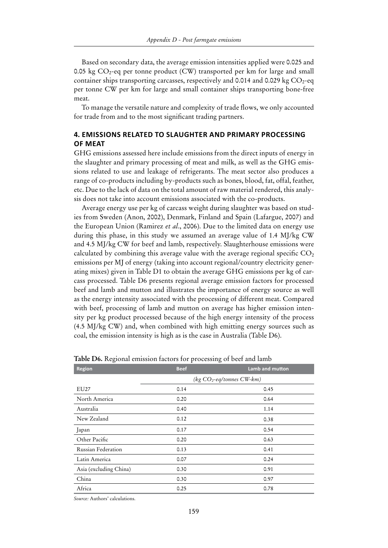Based on secondary data, the average emission intensities applied were 0.025 and 0.05 kg  $CO_2$ -eq per tonne product (CW) transported per km for large and small container ships transporting carcasses, respectively and 0.014 and 0.029 kg  $CO<sub>2</sub>$ -eq per tonne CW per km for large and small container ships transporting bone-free meat.

To manage the versatile nature and complexity of trade flows, we only accounted for trade from and to the most significant trading partners.

#### **4. Emissions related to slaughter and primary processing of meat**

GHG emissions assessed here include emissions from the direct inputs of energy in the slaughter and primary processing of meat and milk, as well as the GHG emissions related to use and leakage of refrigerants. The meat sector also produces a range of co-products including by-products such as bones, blood, fat, offal, feather, etc. Due to the lack of data on the total amount of raw material rendered, this analysis does not take into account emissions associated with the co-products.

Average energy use per kg of carcass weight during slaughter was based on studies from Sweden (Anon, 2002), Denmark, Finland and Spain (Lafargue, 2007) and the European Union (Ramirez *et al*., 2006). Due to the limited data on energy use during this phase, in this study we assumed an average value of 1.4 MJ/kg CW and 4.5 MJ/kg CW for beef and lamb, respectively. Slaughterhouse emissions were calculated by combining this average value with the average regional specific  $CO<sub>2</sub>$ emissions per MJ of energy (taking into account regional/country electricity generating mixes) given in Table D1 to obtain the average GHG emissions per kg of carcass processed. Table D6 presents regional average emission factors for processed beef and lamb and mutton and illustrates the importance of energy source as well as the energy intensity associated with the processing of different meat. Compared with beef, processing of lamb and mutton on average has higher emission intensity per kg product processed because of the high energy intensity of the process (4.5 MJ/kg CW) and, when combined with high emitting energy sources such as coal, the emission intensity is high as is the case in Australia (Table D6).

| <b>Region</b>          | <b>Beef</b> | Lamb and mutton              |
|------------------------|-------------|------------------------------|
|                        |             | (kg $CO_2$ -eq/tonnes CW-km) |
| EU27                   | 0.14        | 0.45                         |
| North America          | 0.20        | 0.64                         |
| Australia              | 0.40        | 1.14                         |
| New Zealand            | 0.12        | 0.38                         |
| Japan                  | 0.17        | 0.54                         |
| Other Pacific          | 0.20        | 0.63                         |
| Russian Federation     | 0.13        | 0.41                         |
| Latin America          | 0.07        | 0.24                         |
| Asia (excluding China) | 0.30        | 0.91                         |
| China                  | 0.30        | 0.97                         |
| Africa                 | 0.25        | 0.78                         |

**Table D6.** Regional emission factors for processing of beef and lamb

*Source:* Authors' calculations.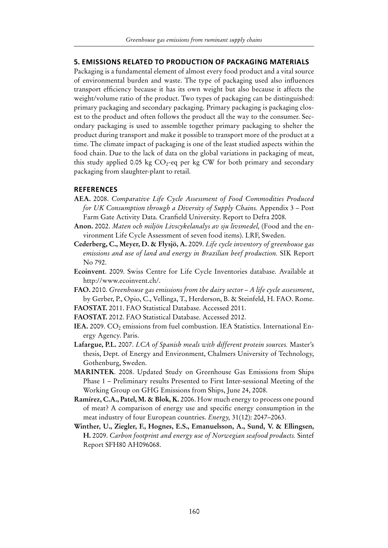#### **5. Emissions related to production of packaging materials**

Packaging is a fundamental element of almost every food product and a vital source of environmental burden and waste. The type of packaging used also influences transport efficiency because it has its own weight but also because it affects the weight/volume ratio of the product. Two types of packaging can be distinguished: primary packaging and secondary packaging. Primary packaging is packaging closest to the product and often follows the product all the way to the consumer. Secondary packaging is used to assemble together primary packaging to shelter the product during transport and make it possible to transport more of the product at a time. The climate impact of packaging is one of the least studied aspects within the food chain. Due to the lack of data on the global variations in packaging of meat, this study applied 0.05 kg  $CO_2$ -eq per kg CW for both primary and secondary packaging from slaughter-plant to retail.

#### **References**

- **AEA.** 2008. *Comparative Life Cycle Assessment of Food Commodities Produced for UK Consumption through a Diversity of Supply Chains.* Appendix 3 – Post Farm Gate Activity Data. Cranfield University. Report to Defra 2008.
- **Anon.** 2002. *Maten och miljön Livscykelanalys av sju livsmedel,* (Food and the environment Life Cycle Assessment of seven food items). LRF, Sweden.
- **Cederberg, C., Meyer, D. & Flysjö, A.** 2009. *Life cycle inventory of greenhouse gas emissions and use of land and energy in Brazilian beef production.* SIK Report No 792.
- **Ecoinvent**. 2009. Swiss Centre for Life Cycle Inventories database. Available at http://www.ecoinvent.ch/.
- **FAO.** 2010. *Greenhouse gas emissions from the dairy sector A life cycle assessment*, by Gerber, P., Opio, C., Vellinga, T., Herderson, B. & Steinfeld, H. FAO. Rome.
- **FAOSTAT.** 2011. FAO Statistical Database. Accessed 2011.
- **FAOSTAT.** 2012. FAO Statistical Database. Accessed 2012.
- IEA. 2009. CO<sub>2</sub> emissions from fuel combustion. IEA Statistics. International Energy Agency. Paris.
- **Lafargue, P.L.** 2007. *LCA of Spanish meals with different protein sources.* Master's thesis, Dept. of Energy and Environment, Chalmers University of Technology, Gothenburg, Sweden.
- **Marintek**. 2008. Updated Study on Greenhouse Gas Emissions from Ships Phase 1 – Preliminary results Presented to First Inter-sessional Meeting of the Working Group on GHG Emissions from Ships, June 24, 2008.
- **Ramírez, C.A., Patel, M. & Blok, K.** 2006. How much energy to process one pound of meat? A comparison of energy use and specific energy consumption in the meat industry of four European countries. *Energy,* 31(12): 2047–2063.
- **Winther, U., Ziegler, F., Hognes, E.S., Emanuelsson, A., Sund, V. & Ellingsen, H.** 2009. *Carbon footprint and energy use of Norwegian seafood products.* Sintef Report SFH80 AH096068.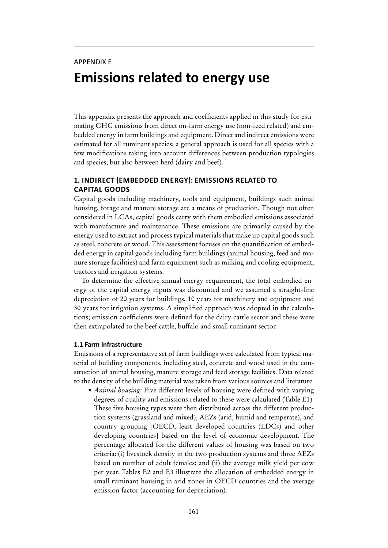## APPENDIX E **Emissions related to energy use**

This appendix presents the approach and coefficients applied in this study for estimating GHG emissions from direct on-farm energy use (non-feed related) and embedded energy in farm buildings and equipment. Direct and indirect emissions were estimated for all ruminant species; a general approach is used for all species with a few modifications taking into account differences between production typologies and species, but also between herd (dairy and beef).

#### **1. Indirect (embedded energy): emissions related to capital goods**

Capital goods including machinery, tools and equipment, buildings such animal housing, forage and manure storage are a means of production. Though not often considered in LCAs, capital goods carry with them embodied emissions associated with manufacture and maintenance. These emissions are primarily caused by the energy used to extract and process typical materials that make up capital goods such as steel, concrete or wood. This assessment focuses on the quantification of embedded energy in capital goods including farm buildings (animal housing, feed and manure storage facilities) and farm equipment such as milking and cooling equipment, tractors and irrigation systems.

To determine the effective annual energy requirement, the total embodied energy of the capital energy inputs was discounted and we assumed a straight-line depreciation of 20 years for buildings, 10 years for machinery and equipment and 30 years for irrigation systems. A simplified approach was adopted in the calculations; emission coefficients were defined for the dairy cattle sector and these were then extrapolated to the beef cattle, buffalo and small ruminant sector.

#### **1.1 Farm infrastructure**

Emissions of a representative set of farm buildings were calculated from typical material of building components, including steel, concrete and wood used in the construction of animal housing, manure storage and feed storage facilities. Data related to the density of the building material was taken from various sources and literature.

• *Animal housing*: Five different levels of housing were defined with varying degrees of quality and emissions related to these were calculated (Table E1). These five housing types were then distributed across the different production systems (grassland and mixed), AEZs (arid, humid and temperate), and country grouping [OECD, least developed countries (LDCs) and other developing countries] based on the level of economic development. The percentage allocated for the different values of housing was based on two criteria: (i) livestock density in the two production systems and three AEZs based on number of adult females; and (ii) the average milk yield per cow per year. Tables E2 and E3 illustrate the allocation of embedded energy in small ruminant housing in arid zones in OECD countries and the average emission factor (accounting for depreciation).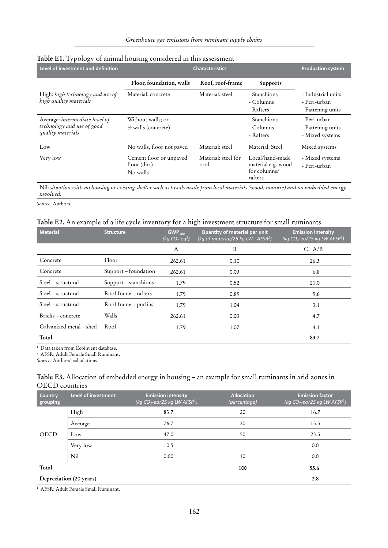| Level of investment and definition                                                |                                                     | <b>Characteristics</b>      |                                                                  | <b>Production system</b>                                |
|-----------------------------------------------------------------------------------|-----------------------------------------------------|-----------------------------|------------------------------------------------------------------|---------------------------------------------------------|
|                                                                                   | Floor, foundation, walls                            | Roof, roof-frame            | <b>Supports</b>                                                  |                                                         |
| High: high technology and use of<br>high quality materials                        | Material: concrete                                  | Material: steel             | - Stanchions<br>- Columns<br>- Rafters                           | - Industrial units<br>- Peri-urban<br>- Fattening units |
| Average: intermediate level of<br>technology and use of good<br>quality materials | Without walls; or<br>$\frac{1}{2}$ walls (concrete) |                             | - Stanchions<br>- Columns<br>- Rafters                           | - Peri-urban<br>- Fattening units<br>- Mixed systems    |
| Low                                                                               | No walls, floor not paved                           | Material: steel             | Material: Steel                                                  | Mixed systems                                           |
| Very low                                                                          | Cement floor or unpaved<br>floor (dirt)<br>No walls | Material: steel for<br>roof | Local/hand-made<br>material e.g. wood<br>for columns/<br>rafters | - Mixed systems<br>- Peri-urban                         |

## **Table E1.** Typology of animal housing considered in this assessment

Nil: *situation with no housing or existing shelter such as kraals made from local materials (wood, manure) and no embedded energy involved.*

*Source:* Authors.

#### **Table E2.** An example of a life cycle inventory for a high investment structure for small ruminants

| <b>Material</b>         | <b>Structure</b>     | GWP <sub>100</sub><br>(kg $CO_2$ -eq <sup>1</sup> ) | <b>Quantity of material per unit</b><br>(kg of material/25 kg LW - $AFSR2$ ) | <b>Emission intensity</b><br>(kg $CO_2$ -eq/25 kg LW AFSR <sup>2</sup> ) |
|-------------------------|----------------------|-----------------------------------------------------|------------------------------------------------------------------------------|--------------------------------------------------------------------------|
|                         |                      | A                                                   | B                                                                            | $C = A/B$                                                                |
| Concrete                | Floor                | 262.61                                              | 0.10                                                                         | 26.3                                                                     |
| Concrete                | Support – foundation | 262.61                                              | 0.03                                                                         | 6.8                                                                      |
| Steel – structural      | Support – stanchions | 1.79                                                | 0.52                                                                         | 21.0                                                                     |
| Steel - structural      | Roof frame – rafters | 1.79                                                | 0.89                                                                         | 9.6                                                                      |
| Steel - structural      | Roof frame - purlins | 1.79                                                | 1.04                                                                         | 3.1                                                                      |
| Bricks-concrete         | Walls                | 262.61                                              | 0.03                                                                         | 4.7                                                                      |
| Galvanized metal – shed | Roof                 | 1.79                                                | 1.07                                                                         | 4.1                                                                      |
| Total                   |                      |                                                     |                                                                              | 83.7                                                                     |

<sup>1</sup> Data taken from Ecoinvent database.

<sup>2</sup> AFSR: Adult Female Small Ruminant.

*Source:* Authors' calculations.

#### **Table E3.** Allocation of embedded energy in housing – an example for small ruminants in arid zones in OECD countries

| <b>Country</b><br>grouping | Level of investment     | <b>Emission intensity</b><br>(kg $CO_2$ -eq/25 kg LW AFSR <sup>1</sup> ) | <b>Allocation</b><br>(percentage) | <b>Emission factor</b><br>$\frac{1}{\log CO_2 \cdot eq/25}$ kg LW AFSR $^1$ ) |
|----------------------------|-------------------------|--------------------------------------------------------------------------|-----------------------------------|-------------------------------------------------------------------------------|
|                            | High                    | 83.7                                                                     | 20                                | 16.7                                                                          |
|                            | Average                 | 76.7                                                                     | 20                                | 15.3                                                                          |
| <b>OECD</b>                | Low                     | 47.0                                                                     | 50                                | 23.5                                                                          |
|                            | Very low                | 10.5                                                                     | -                                 | 0.0                                                                           |
|                            | Nil                     | 0.00                                                                     | 10                                | 0.0                                                                           |
| Total                      |                         |                                                                          | 100                               | 55.6                                                                          |
|                            | Depreciation (20 years) |                                                                          |                                   | 2.8                                                                           |

<sup>1</sup> AFSR: Adult Female Small Ruminant.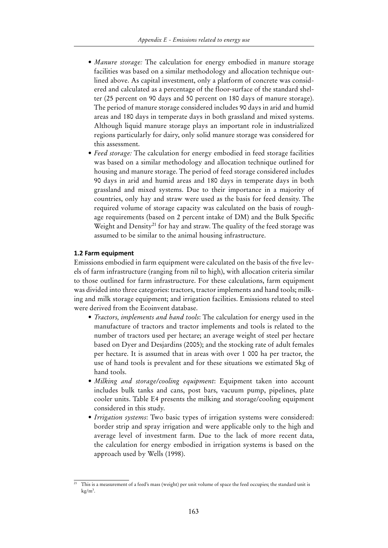- *Manure storage:* The calculation for energy embodied in manure storage facilities was based on a similar methodology and allocation technique outlined above. As capital investment, only a platform of concrete was considered and calculated as a percentage of the floor-surface of the standard shelter (25 percent on 90 days and 50 percent on 180 days of manure storage). The period of manure storage considered includes 90 days in arid and humid areas and 180 days in temperate days in both grassland and mixed systems. Although liquid manure storage plays an important role in industrialized regions particularly for dairy, only solid manure storage was considered for this assessment.
- Feed storage: The calculation for energy embodied in feed storage facilities was based on a similar methodology and allocation technique outlined for housing and manure storage. The period of feed storage considered includes 90 days in arid and humid areas and 180 days in temperate days in both grassland and mixed systems. Due to their importance in a majority of countries, only hay and straw were used as the basis for feed density. The required volume of storage capacity was calculated on the basis of roughage requirements (based on 2 percent intake of DM) and the Bulk Specific Weight and Density<sup>21</sup> for hay and straw. The quality of the feed storage was assumed to be similar to the animal housing infrastructure.

#### **1.2 Farm equipment**

Emissions embodied in farm equipment were calculated on the basis of the five levels of farm infrastructure (ranging from nil to high), with allocation criteria similar to those outlined for farm infrastructure. For these calculations, farm equipment was divided into three categories: tractors, tractor implements and hand tools; milking and milk storage equipment; and irrigation facilities. Emissions related to steel were derived from the Ecoinvent database.

- *• Tractors, implements and hand tools*: The calculation for energy used in the manufacture of tractors and tractor implements and tools is related to the number of tractors used per hectare; an average weight of steel per hectare based on Dyer and Desjardins (2005); and the stocking rate of adult females per hectare. It is assumed that in areas with over 1 000 ha per tractor, the use of hand tools is prevalent and for these situations we estimated 5kg of hand tools.
- *• Milking and storage/cooling equipment*: Equipment taken into account includes bulk tanks and cans, post bars, vacuum pump, pipelines, plate cooler units. Table E4 presents the milking and storage/cooling equipment considered in this study.
- *• Irrigation systems*: Two basic types of irrigation systems were considered: border strip and spray irrigation and were applicable only to the high and average level of investment farm. Due to the lack of more recent data, the calculation for energy embodied in irrigation systems is based on the approach used by Wells (1998).

 $\overline{21}$  This is a measurement of a feed's mass (weight) per unit volume of space the feed occupies; the standard unit is  $\text{kg/m}^3$ .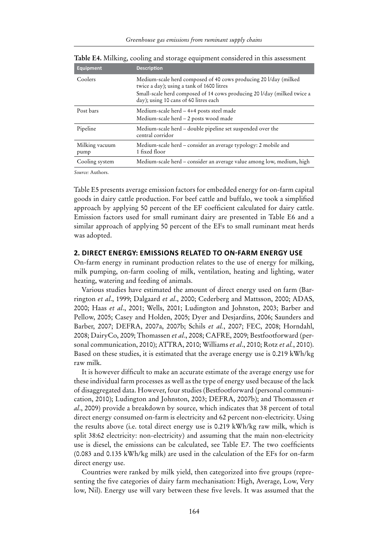| <b>Equipment</b>       | <b>Description</b>                                                                                                                                                                                                                 |
|------------------------|------------------------------------------------------------------------------------------------------------------------------------------------------------------------------------------------------------------------------------|
| Coolers                | Medium-scale herd composed of 40 cows producing 20 l/day (milked)<br>twice a day); using a tank of 1600 litres<br>Small-scale herd composed of 14 cows producing 20 l/day (milked twice a<br>day); using 10 cans of 60 litres each |
| Post bars              | Medium-scale herd – 4+4 posts steel made<br>Medium-scale herd - 2 posts wood made                                                                                                                                                  |
| Pipeline               | Medium-scale herd - double pipeline set suspended over the<br>central corridor                                                                                                                                                     |
| Milking vacuum<br>pump | Medium-scale herd – consider an average typology: 2 mobile and<br>1 fixed floor                                                                                                                                                    |
| Cooling system         | Medium-scale herd - consider an average value among low, medium, high                                                                                                                                                              |

**Table E4.** Milking, cooling and storage equipment considered in this assessment

*Source:* Authors.

Table E5 presents average emission factors for embedded energy for on-farm capital goods in dairy cattle production. For beef cattle and buffalo, we took a simplified approach by applying 50 percent of the EF coefficient calculated for dairy cattle. Emission factors used for small ruminant dairy are presented in Table E6 and a similar approach of applying 50 percent of the EFs to small ruminant meat herds was adopted.

#### **2. Direct energy: emissions related to on-farm energy use**

On-farm energy in ruminant production relates to the use of energy for milking, milk pumping, on-farm cooling of milk, ventilation, heating and lighting, water heating, watering and feeding of animals.

Various studies have estimated the amount of direct energy used on farm (Barrington *et al*., 1999; Dalgaard *et al*., 2000; Cederberg and Mattsson, 2000; ADAS, 2000; Haas *et al*., 2001; Wells, 2001; Ludington and Johnston, 2003; Barber and Pellow, 2005; Casey and Holden, 2005; Dyer and Desjardins, 2006; Saunders and Barber, 2007; DEFRA, 2007a, 2007b; Schils *et al.*, 2007; FEC, 2008; Horndahl, 2008; DairyCo, 2009; Thomassen *et al*., 2008; CAFRE, 2009; Bestfootforward (personal communication, 2010); ATTRA, 2010; Williams *et al*., 2010; Rotz *et al.*, 2010). Based on these studies, it is estimated that the average energy use is 0.219 kWh/kg raw milk.

It is however difficult to make an accurate estimate of the average energy use for these individual farm processes as well as the type of energy used because of the lack of disaggregated data. However, four studies (Bestfootforward (personal communication, 2010); Ludington and Johnston, 2003; DEFRA, 2007b); and Thomassen *et al*., 2009) provide a breakdown by source, which indicates that 38 percent of total direct energy consumed on-farm is electricity and 62 percent non-electricity. Using the results above (i.e. total direct energy use is 0.219 kWh/kg raw milk, which is split 38:62 electricity: non-electricity) and assuming that the main non-electricity use is diesel, the emissions can be calculated, see Table E7. The two coefficients (0.083 and 0.135 kWh/kg milk) are used in the calculation of the EFs for on-farm direct energy use.

Countries were ranked by milk yield, then categorized into five groups (representing the five categories of dairy farm mechanisation: High, Average, Low, Very low, Nil). Energy use will vary between these five levels. It was assumed that the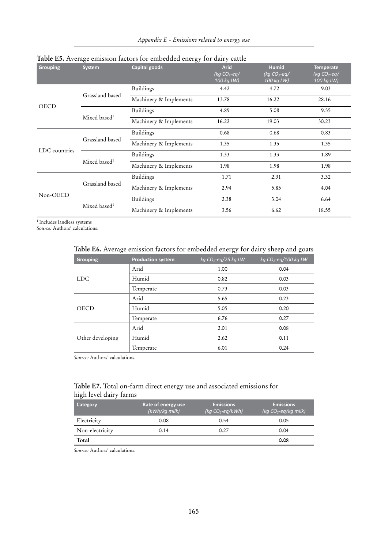| <b>Grouping</b> | <b>System</b>            | Capital goods          | <b>Arid</b><br>(kg $CO_2$ -eg/<br>100 kg LW) | <b>Humid</b><br>(kg $CO_2$ -eq/<br>100 kg LW) | <b>Temperate</b><br>(kg $CO_2$ -eq/<br>100 kg LW) |
|-----------------|--------------------------|------------------------|----------------------------------------------|-----------------------------------------------|---------------------------------------------------|
|                 |                          | <b>Buildings</b>       | 4.42                                         | 4.72                                          | 9.03                                              |
|                 | Grassland based          | Machinery & Implements | 13.78                                        | 16.22                                         | 28.16                                             |
| <b>OECD</b>     | Mixed based <sup>1</sup> | <b>Buildings</b>       | 4.89                                         | 5.08                                          | 9.55                                              |
|                 |                          | Machinery & Implements | 16.22                                        | 19.03                                         | 30.23                                             |
|                 | Grassland based          | <b>Buildings</b>       | 0.68                                         | 0.68                                          | 0.83                                              |
|                 |                          | Machinery & Implements | 1.35                                         | 1.35                                          | 1.35                                              |
| LDC countries   | Mixed based <sup>1</sup> | <b>Buildings</b>       | 1.33                                         | 1.33                                          | 1.89                                              |
|                 |                          | Machinery & Implements | 1.98                                         | 1.98                                          | 1.98                                              |
| Non-OECD        | Grassland based          | <b>Buildings</b>       | 1.71                                         | 2.31                                          | 3.32                                              |
|                 |                          | Machinery & Implements | 2.94                                         | 5.85                                          | 4.04                                              |
|                 |                          | <b>Buildings</b>       | 2.38                                         | 3.04                                          | 6.64                                              |
|                 | Mixed based <sup>1</sup> | Machinery & Implements | 3.56                                         | 6.62                                          | 18.55                                             |

## **Table E5.** Average emission factors for embedded energy for dairy cattle

 $^{\rm 1}$  Includes landless systems

*Source:* Authors' calculations.

| <b>Table E6.</b> Average emission factors for embedded energy for dairy sheep and goats |                          |                        |                         |  |  |
|-----------------------------------------------------------------------------------------|--------------------------|------------------------|-------------------------|--|--|
| <b>Grouping</b>                                                                         | <b>Production system</b> | kg $CO_2$ -eq/25 kg LW | kg $CO_2$ -eq/100 kg LW |  |  |
|                                                                                         | Arid                     | 1.00                   | 0.04                    |  |  |
| <b>LDC</b>                                                                              | Humid                    | 0.82                   | 0.03                    |  |  |
|                                                                                         | Temperate                | 0.73                   | 0.03                    |  |  |
|                                                                                         | Arid                     | 5.65                   | 0.23                    |  |  |
| <b>OECD</b>                                                                             | Humid                    | 5.05                   | 0.20                    |  |  |
|                                                                                         | Temperate                | 6.76                   | 0.27                    |  |  |
|                                                                                         | Arid                     | 2.01                   | 0.08                    |  |  |
| Other developing                                                                        | Humid                    | 2.62                   | 0.11                    |  |  |
|                                                                                         | Temperate                | 6.01                   | 0.24                    |  |  |

## **Table E6.** Average emission factors for embedded energy for dairy sheep and goats

*Source:* Authors' calculations.

### **Table E7.** Total on-farm direct energy use and associated emissions for high level dairy farms

| Category        | Rate of energy use<br>(kWh/kg milk) | <b>Emissions</b><br>(kg $CO_2$ -eg/kWh) | <b>Emissions</b><br>(kg $CO_2$ -eg/kg milk) |
|-----------------|-------------------------------------|-----------------------------------------|---------------------------------------------|
| Electricity     | 0.08                                | 0.54                                    | 0.05                                        |
| Non-electricity | 0.14                                | 0.27                                    | 0.04                                        |
| Total           |                                     |                                         | 0.08                                        |

*Source:* Authors' calculations.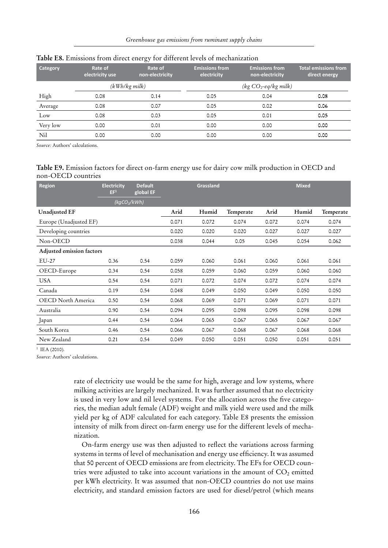| <b>Category</b> | Rate of<br>electricity use | Rate of<br>non-electricity | <b>Emissions from</b><br>electricity | <b>Emissions from</b><br>non-electricity | <b>Total emissions from</b><br>direct energy |
|-----------------|----------------------------|----------------------------|--------------------------------------|------------------------------------------|----------------------------------------------|
|                 |                            | $(kWh/kg$ milk)            |                                      | $(kg CO2-eq/kg$ milk)                    |                                              |
| High            | 0.08                       | 0.14                       | 0.05                                 | 0.04                                     | 0.08                                         |
| Average         | 0.08                       | 0.07                       | 0.05                                 | 0.02                                     | 0.06                                         |
| Low             | 0.08                       | 0.03                       | 0.05                                 | 0.01                                     | 0.05                                         |
| Very low        | 0.00                       | 0.01                       | 0.00                                 | 0.00                                     | 0.00                                         |
| Nil             | 0.00                       | 0.00                       | 0.00                                 | 0.00                                     | 0.00                                         |

#### **Table E8.** Emissions from direct energy for different levels of mechanization

*Source:* Authors' calculations.

#### **Table E9.** Emission factors for direct on-farm energy use for dairy cow milk production in OECD and non-OECD countries

| <b>Region</b>             | <b>Electricity</b><br>EF <sup>1</sup> | <b>Default</b><br>global EF |       | Grassland |           |       | <b>Mixed</b> |           |
|---------------------------|---------------------------------------|-----------------------------|-------|-----------|-----------|-------|--------------|-----------|
|                           | $\sqrt{kgCO_2}/kWh$                   |                             |       |           |           |       |              |           |
| <b>Unadjusted EF</b>      |                                       |                             | Arid  | Humid     | Temperate | Arid  | Humid        | Temperate |
| Europe (Unadjusted EF)    |                                       |                             | 0.071 | 0.072     | 0.074     | 0.072 | 0.074        | 0.074     |
| Developing countries      |                                       |                             | 0.020 | 0.020     | 0.020     | 0.027 | 0.027        | 0.027     |
| Non-OECD                  |                                       |                             | 0.038 | 0.044     | 0.05      | 0.045 | 0.054        | 0.062     |
| Adjusted emission factors |                                       |                             |       |           |           |       |              |           |
| $EU-27$                   | 0.36                                  | 0.54                        | 0.059 | 0.060     | 0.061     | 0.060 | 0.061        | 0.061     |
| OECD-Europe               | 0.34                                  | 0.54                        | 0.058 | 0.059     | 0.060     | 0.059 | 0.060        | 0.060     |
| <b>USA</b>                | 0.54                                  | 0.54                        | 0.071 | 0.072     | 0.074     | 0.072 | 0.074        | 0.074     |
| Canada                    | 0.19                                  | 0.54                        | 0.048 | 0.049     | 0.050     | 0.049 | 0.050        | 0.050     |
| <b>OECD</b> North America | 0.50                                  | 0.54                        | 0.068 | 0.069     | 0.071     | 0.069 | 0.071        | 0.071     |
| Australia                 | 0.90                                  | 0.54                        | 0.094 | 0.095     | 0.098     | 0.095 | 0.098        | 0.098     |
| Japan                     | 0.44                                  | 0.54                        | 0.064 | 0.065     | 0.067     | 0.065 | 0.067        | 0.067     |
| South Korea               | 0.46                                  | 0.54                        | 0.066 | 0.067     | 0.068     | 0.067 | 0.068        | 0.068     |
| New Zealand               | 0.21                                  | 0.54                        | 0.049 | 0.050     | 0.051     | 0.050 | 0.051        | 0.051     |

 $1$  IEA (2010).

*Source:* Authors' calculations.

rate of electricity use would be the same for high, average and low systems, where milking activities are largely mechanized. It was further assumed that no electricity is used in very low and nil level systems. For the allocation across the five categories, the median adult female (ADF) weight and milk yield were used and the milk yield per kg of ADF calculated for each category. Table E8 presents the emission intensity of milk from direct on-farm energy use for the different levels of mechanization.

On-farm energy use was then adjusted to reflect the variations across farming systems in terms of level of mechanisation and energy use efficiency. It was assumed that 50 percent of OECD emissions are from electricity. The EFs for OECD countries were adjusted to take into account variations in the amount of  $CO<sub>2</sub>$  emitted per kWh electricity. It was assumed that non-OECD countries do not use mains electricity, and standard emission factors are used for diesel/petrol (which means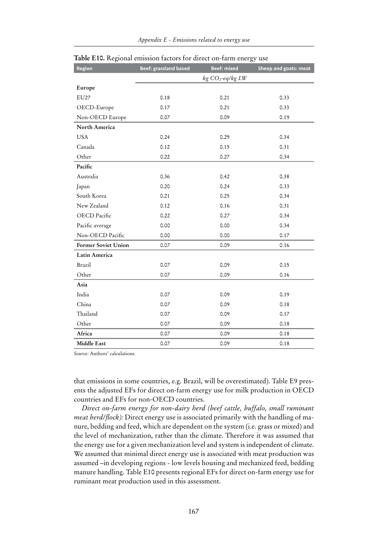| Region              | <b>Beef: grassland based</b> | <b>Beef: mixed</b>  | Sheep and goats: meat |
|---------------------|------------------------------|---------------------|-----------------------|
|                     |                              | $kg CO_2$ -eq/kg LW |                       |
| Europe              |                              |                     |                       |
| EU27                | 0.18                         | 0.21                | 0.33                  |
| OECD-Europe         | 0.17                         | 0.21                | 0.33                  |
| Non-OECD Europe     | 0.07                         | 0.09                | 0.19                  |
| North America       |                              |                     |                       |
| <b>USA</b>          | 0.24                         | 0.29                | 0.34                  |
| Canada              | 0.12                         | 0.15                | 0.31                  |
| Other               | 0.22                         | 0.27                | 0.34                  |
| Pacific             |                              |                     |                       |
| Australia           | 0.36                         | 0.42                | 0.38                  |
| Japan               | 0.20                         | 0.24                | 0.33                  |
| South Korea         | 0.21                         | 0.25                | 0.34                  |
| New Zealand         | 0.12                         | 0.16                | 0.31                  |
| OECD Pacific        | 0.22                         | 0.27                | 0.34                  |
| Pacific average     | 0.00                         | 0.00                | 0.34                  |
| Non-OECD Pacific    | 0.00                         | 0.00                | 0.17                  |
| Former Soviet Union | 0.07                         | 0.09                | 0.16                  |
| Latin America       |                              |                     |                       |
| Brazil              | 0.07                         | 0.09                | 0.15                  |
| Other               | 0.07                         | 0.09                | 0.16                  |
| Asia                |                              |                     |                       |
| India               | 0.07                         | 0.09                | 0.19                  |
| China               | 0.07                         | 0.09                | 0.18                  |
| Thailand            | 0.07                         | 0.09                | 0.17                  |
| Other               | 0.07                         | 0.09                | 0.18                  |
| Africa              | 0.07                         | 0.09                | 0.18                  |
| Middle East         | 0.07                         | 0.09                | 0.18                  |

|  | Table E10. Regional emission factors for direct on-farm energy use |  |  |  |
|--|--------------------------------------------------------------------|--|--|--|
|  |                                                                    |  |  |  |
|  |                                                                    |  |  |  |

*Source:* Authors' calculations.

that emissions in some countries, e.g. Brazil, will be overestimated). Table E9 presents the adjusted EFs for direct on-farm energy use for milk production in OECD countries and EFs for non-OECD countries.

*Direct on-farm energy for non-dairy herd (beef cattle, buffalo, small ruminant meat herd/flock):* Direct energy use is associated primarily with the handling of manure, bedding and feed, which are dependent on the system (i.e. grass or mixed) and the level of mechanization, rather than the climate. Therefore it was assumed that the energy use for a given mechanization level and system is independent of climate. We assumed that minimal direct energy use is associated with meat production was assumed –in developing regions - low levels housing and mechanized feed, bedding manure handling. Table E10 presents regional EFs for direct on-farm energy use for ruminant meat production used in this assessment.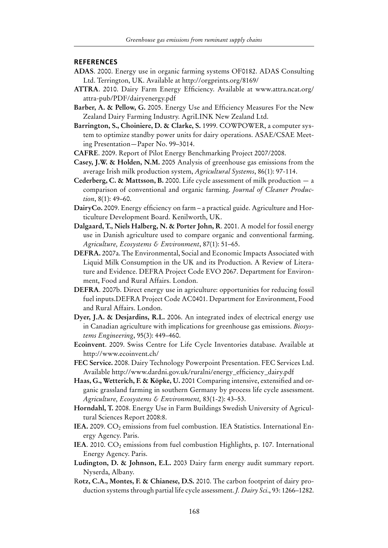#### **References**

- **ADAS**. 2000. Energy use in organic farming systems OF0182. ADAS Consulting Ltd. Terrington, UK. Available at http://orgprints.org/8169/
- **ATTRA**. 2010. Dairy Farm Energy Efficiency. Available at www.attra.ncat.org/ attra-pub/PDF/dairyenergy.pdf
- **Barber, A. & Pellow, G.** 2005. Energy Use and Efficiency Measures For the New Zealand Dairy Farming Industry. AgriLINK New Zealand Ltd.
- **Barrington, S., Choiniere, D. & Clarke, S.** 1999. COWPOWER, a computer system to optimize standby power units for dairy operations. ASAE/CSAE Meeting Presentation—Paper No. 99–3014.
- **CAFRE**. 2009. Report of Pilot Energy Benchmarking Project 2007/2008.
- **Casey, J.W. & Holden, N.M.** 2005 Analysis of greenhouse gas emissions from the average Irish milk production system, *Agricultural Systems*, 86(1): 97-114.
- **Cederberg, C. & Mattsson, B.** 2000. Life cycle assessment of milk production a comparison of conventional and organic farming. *Journal of Cleaner Production*, 8(1): 49–60.
- **DairyCo.** 2009. Energy efficiency on farm a practical guide. Agriculture and Horticulture Development Board. Kenilworth, UK.
- **Dalgaard, T., Niels Halberg, N. & Porter John, R**. 2001. A model for fossil energy use in Danish agriculture used to compare organic and conventional farming. *Agriculture, Ecosystems & Environment*, 87(1): 51–65.
- **DEFRA.** 2007a. The Environmental, Social and Economic Impacts Associated with Liquid Milk Consumption in the UK and its Production. A Review of Literature and Evidence. DEFRA Project Code EVO 2067. Department for Environment, Food and Rural Affairs. London.
- **DEFRA**. 2007b. Direct energy use in agriculture: opportunities for reducing fossil fuel inputs.DEFRA Project Code AC0401. Department for Environment, Food and Rural Affairs. London.
- **Dyer, J.A. & Desjardins, R.L.** 2006. An integrated index of electrical energy use in Canadian agriculture with implications for greenhouse gas emissions. *Biosystems Engineering*, 95(3): 449–460.
- **Ecoinvent**. 2009. Swiss Centre for Life Cycle Inventories database. Available at http://www.ecoinvent.ch/
- **FEC Service.** 2008. Dairy Technology Powerpoint Presentation. FEC Services Ltd. Available http://www.dardni.gov.uk/ruralni/energy\_efficiency\_dairy.pdf
- **Haas, G., Wetterich, F. & Köpke, U.** 2001 Comparing intensive, extensified and organic grassland farming in southern Germany by process life cycle assessment. *Agriculture, Ecosystems & Environment,* 83(1-2): 43–53.
- **Horndahl, T.** 2008. Energy Use in Farm Buildings Swedish University of Agricultural Sciences Report 2008:8.
- IEA. 2009. CO<sub>2</sub> emissions from fuel combustion. IEA Statistics. International Energy Agency. Paris.
- IEA. 2010. CO<sub>2</sub> emissions from fuel combustion Highlights, p. 107. International Energy Agency. Paris.
- **Ludington, D. & Johnson, E.L.** 2003 Dairy farm energy audit summary report. Nyserda, Albany.
- R**otz, C.A., Montes, F. & Chianese, D.S.** 2010. The carbon footprint of dairy production systems through partial life cycle assessment. *J. Dairy Sci*., 93: 1266–1282.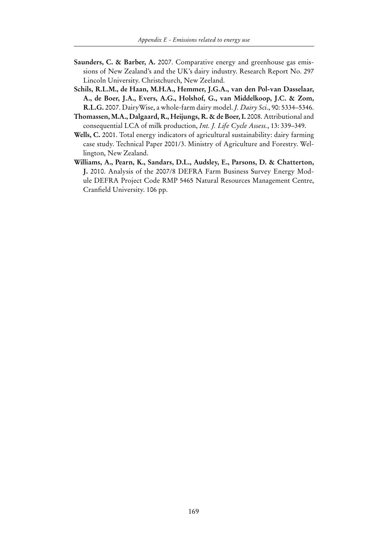- **Saunders, C. & Barber, A.** 2007. Comparative energy and greenhouse gas emissions of New Zealand's and the UK's dairy industry. Research Report No. 297 Lincoln University. Christchurch, New Zeeland.
- **Schils, R.L.M., de Haan, M.H.A., Hemmer, J.G.A., van den Pol-van Dasselaar, A., de Boer, J.A., Evers, A.G., Holshof, G., van Middelkoop, J.C. & Zom, R.L.G.** 2007. DairyWise, a whole-farm dairy model. *J. Dairy Sci*., 90: 5334–5346.
- **Thomassen, M.A., Dalgaard, R., Heijungs, R. & de Boer, I.** 2008. Attributional and consequential LCA of milk production, *Int. J. Life Cycle Assess.*, 13: 339–349.
- **Wells, C.** 2001. Total energy indicators of agricultural sustainability: dairy farming case study. Technical Paper 2001/3. Ministry of Agriculture and Forestry. Wellington, New Zealand.
- **Williams, A., Pearn, K., Sandars, D.L., Audsley, E., Parsons, D. & Chatterton, J.** 2010. Analysis of the 2007/8 DEFRA Farm Business Survey Energy Module DEFRA Project Code RMP 5465 Natural Resources Management Centre, Cranfield University. 106 pp.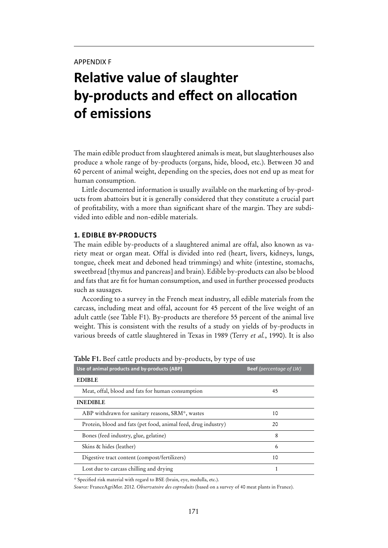# **Relative value of slaughter by-products and effect on allocation of emissions**

The main edible product from slaughtered animals is meat, but slaughterhouses also produce a whole range of by-products (organs, hide, blood, etc.). Between 30 and 60 percent of animal weight, depending on the species, does not end up as meat for human consumption.

Little documented information is usually available on the marketing of by-products from abattoirs but it is generally considered that they constitute a crucial part of profitability, with a more than significant share of the margin. They are subdivided into edible and non-edible materials.

#### **1. Edible by-products**

The main edible by-products of a slaughtered animal are offal, also known as variety meat or organ meat. Offal is divided into red (heart, livers, kidneys, lungs, tongue, cheek meat and deboned head trimmings) and white (intestine, stomachs, sweetbread [thymus and pancreas] and brain). Edible by-products can also be blood and fats that are fit for human consumption, and used in further processed products such as sausages.

According to a survey in the French meat industry, all edible materials from the carcass, including meat and offal, account for 45 percent of the live weight of an adult cattle (see Table F1). By-products are therefore 55 percent of the animal live weight. This is consistent with the results of a study on yields of by-products in various breeds of cattle slaughtered in Texas in 1989 (Terry *et al.*, 1990). It is also

| Use of animal products and by-products (ABP)                   | <b>Beef</b> (percentage of LW) |
|----------------------------------------------------------------|--------------------------------|
| <b>EDIBLE</b>                                                  |                                |
| Meat, offal, blood and fats for human consumption              | 45                             |
| <b>INEDIBLE</b>                                                |                                |
| ABP withdrawn for sanitary reasons, SRM*, wastes               | 10                             |
| Protein, blood and fats (pet food, animal feed, drug industry) | 20                             |
| Bones (feed industry, glue, gelatine)                          | 8                              |
| Skins & hides (leather)                                        | 6                              |
| Digestive tract content (compost/fertilizers)                  | 10                             |
| Lost due to carcass chilling and drying                        |                                |

**Table F1.** Beef cattle products and by-products, by type of use

*\** Specified risk material with regard to BSE (brain, eye, medulla, etc.).

*Source:* FranceAgriMer. 2012. *Observatoire des coproduits* (based on a survey of 40 meat plants in France).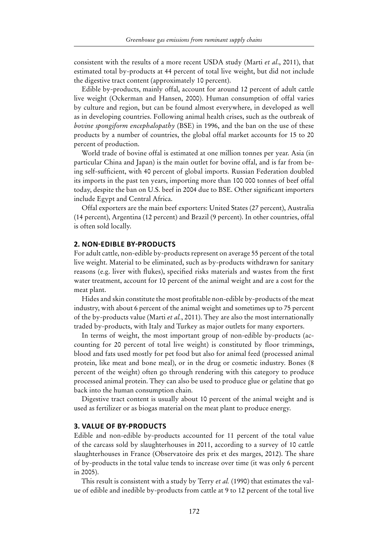consistent with the results of a more recent USDA study (Marti *et al*., 2011), that estimated total by-products at 44 percent of total live weight, but did not include the digestive tract content (approximately 10 percent).

Edible by-products, mainly offal, account for around 12 percent of adult cattle live weight (Ockerman and Hansen, 2000). Human consumption of offal varies by culture and region, but can be found almost everywhere, in developed as well as in developing countries. Following animal health crises, such as the outbreak of *bovine spongiform encephalopathy* (BSE) in 1996, and the ban on the use of these products by a number of countries, the global offal market accounts for 15 to 20 percent of production.

World trade of bovine offal is estimated at one million tonnes per year. Asia (in particular China and Japan) is the main outlet for bovine offal, and is far from being self-sufficient, with 40 percent of global imports. Russian Federation doubled its imports in the past ten years, importing more than 100 000 tonnes of beef offal today, despite the ban on U.S. beef in 2004 due to BSE. Other significant importers include Egypt and Central Africa.

Offal exporters are the main beef exporters: United States (27 percent), Australia (14 percent), Argentina (12 percent) and Brazil (9 percent). In other countries, offal is often sold locally.

#### **2. Non-edible by-products**

For adult cattle, non-edible by-products represent on average 55 percent of the total live weight. Material to be eliminated, such as by-products withdrawn for sanitary reasons (e.g. liver with flukes), specified risks materials and wastes from the first water treatment, account for 10 percent of the animal weight and are a cost for the meat plant.

Hides and skin constitute the most profitable non-edible by-products of the meat industry, with about 6 percent of the animal weight and sometimes up to 75 percent of the by-products value (Marti *et al.*, 2011). They are also the most internationally traded by-products, with Italy and Turkey as major outlets for many exporters.

In terms of weight, the most important group of non-edible by-products (accounting for 20 percent of total live weight) is constituted by floor trimmings, blood and fats used mostly for pet food but also for animal feed (processed animal protein, like meat and bone meal), or in the drug or cosmetic industry. Bones (8 percent of the weight) often go through rendering with this category to produce processed animal protein. They can also be used to produce glue or gelatine that go back into the human consumption chain.

Digestive tract content is usually about 10 percent of the animal weight and is used as fertilizer or as biogas material on the meat plant to produce energy.

#### **3. Value of by-products**

Edible and non-edible by-products accounted for 11 percent of the total value of the carcass sold by slaughterhouses in 2011, according to a survey of 10 cattle slaughterhouses in France (Observatoire des prix et des marges, 2012). The share of by-products in the total value tends to increase over time (it was only 6 percent in 2005).

This result is consistent with a study by Terry *et al.* (1990) that estimates the value of edible and inedible by-products from cattle at 9 to 12 percent of the total live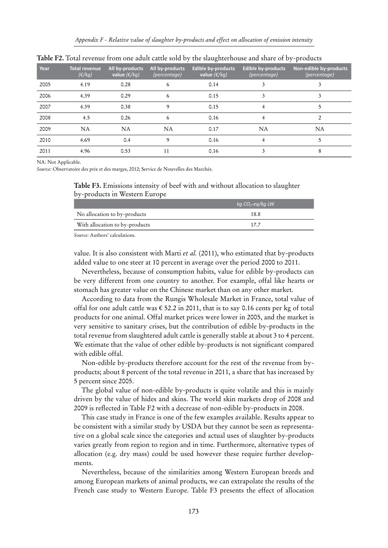| Year | <b>Total revenue</b><br>$(\epsilon/kg)$ | All by-products<br>value $(\epsilon / kq)$ | All by-products<br>(percentage) | <b>Edible by-products</b><br>value $(\epsilon / kg)$ | <b>Edible by-products</b><br>(percentage) | Non-edible by-products<br>(percentage) |
|------|-----------------------------------------|--------------------------------------------|---------------------------------|------------------------------------------------------|-------------------------------------------|----------------------------------------|
| 2005 | 4.19                                    | 0.28                                       | 6                               | 0.14                                                 | 3                                         |                                        |
| 2006 | 4.39                                    | 0.29                                       | 6                               | 0.15                                                 | 3                                         |                                        |
| 2007 | 4.39                                    | 0.38                                       | 9                               | 0.15                                                 | 4                                         | 5                                      |
| 2008 | 4.5                                     | 0.26                                       | 6                               | 0.16                                                 | 4                                         | C                                      |
| 2009 | <b>NA</b>                               | <b>NA</b>                                  | <b>NA</b>                       | 0.17                                                 | NA                                        | <b>NA</b>                              |
| 2010 | 4.69                                    | 0.4                                        | 9                               | 0.16                                                 | 4                                         | 5                                      |
| 2011 | 4.96                                    | 0.53                                       | 11                              | 0.16                                                 | 3                                         | 8                                      |

**Table F2.** Total revenue from one adult cattle sold by the slaughterhouse and share of by-products

NA: Not Applicable.

*Source:* Observatoire des prix et des marges, 2012; Service de Nouvelles des Marchés.

**Table F3.** Emissions intensity of beef with and without allocation to slaughter by-products in Western Europe

|                                | $kq$ CO <sub>2</sub> -eq/kq LW |
|--------------------------------|--------------------------------|
| No allocation to by-products   | 18.8                           |
| With allocation to by-products | 177                            |
|                                |                                |

*Source:* Authors' calculations.

value. It is also consistent with Marti *et al.* (2011), who estimated that by-products added value to one steer at 10 percent in average over the period 2000 to 2011.

Nevertheless, because of consumption habits, value for edible by-products can be very different from one country to another. For example, offal like hearts or stomach has greater value on the Chinese market than on any other market.

According to data from the Rungis Wholesale Market in France, total value of offal for one adult cattle was  $\epsilon$  52.2 in 2011, that is to say 0.16 cents per kg of total products for one animal. Offal market prices were lower in 2005, and the market is very sensitive to sanitary crises, but the contribution of edible by-products in the total revenue from slaughtered adult cattle is generally stable at about 3 to 4 percent. We estimate that the value of other edible by-products is not significant compared with edible offal.

Non-edible by-products therefore account for the rest of the revenue from byproducts; about 8 percent of the total revenue in 2011, a share that has increased by 5 percent since 2005.

The global value of non-edible by-products is quite volatile and this is mainly driven by the value of hides and skins. The world skin markets drop of 2008 and 2009 is reflected in Table F2 with a decrease of non-edible by-products in 2008.

This case study in France is one of the few examples available. Results appear to be consistent with a similar study by USDA but they cannot be seen as representative on a global scale since the categories and actual uses of slaughter by-products varies greatly from region to region and in time. Furthermore, alternative types of allocation (e.g. dry mass) could be used however these require further developments.

Nevertheless, because of the similarities among Western European breeds and among European markets of animal products, we can extrapolate the results of the French case study to Western Europe. Table F3 presents the effect of allocation